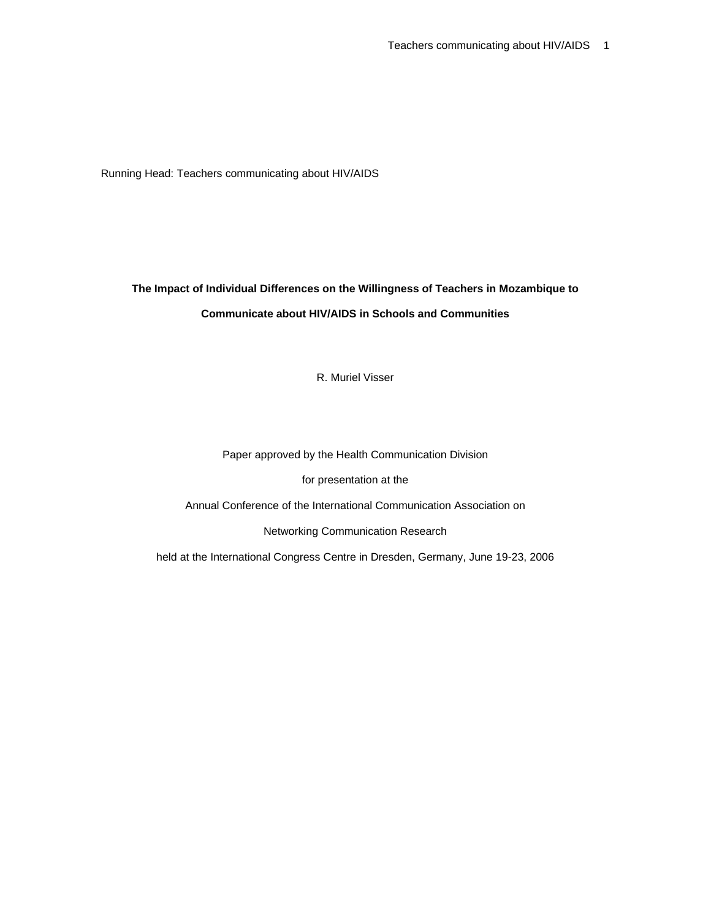Running Head: Teachers communicating about HIV/AIDS

# **The Impact of Individual Differences on the Willingness of Teachers in Mozambique to Communicate about HIV/AIDS in Schools and Communities**

R. Muriel Visser

Paper approved by the Health Communication Division

for presentation at the

Annual Conference of the International Communication Association on

Networking Communication Research

held at the International Congress Centre in Dresden, Germany, June 19-23, 2006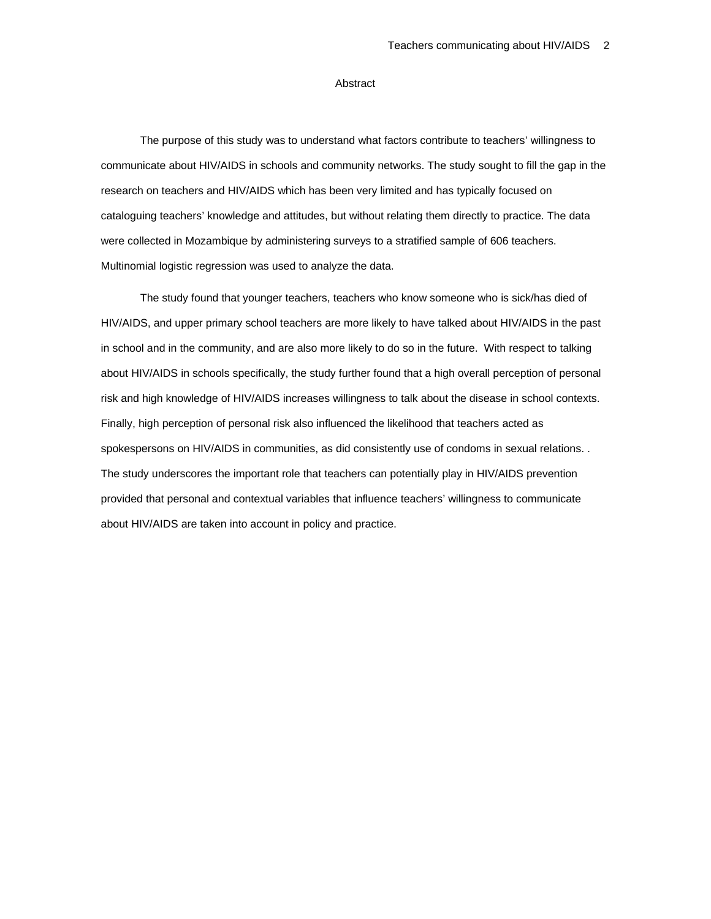# Abstract

The purpose of this study was to understand what factors contribute to teachers' willingness to communicate about HIV/AIDS in schools and community networks. The study sought to fill the gap in the research on teachers and HIV/AIDS which has been very limited and has typically focused on cataloguing teachers' knowledge and attitudes, but without relating them directly to practice. The data were collected in Mozambique by administering surveys to a stratified sample of 606 teachers. Multinomial logistic regression was used to analyze the data.

The study found that younger teachers, teachers who know someone who is sick/has died of HIV/AIDS, and upper primary school teachers are more likely to have talked about HIV/AIDS in the past in school and in the community, and are also more likely to do so in the future. With respect to talking about HIV/AIDS in schools specifically, the study further found that a high overall perception of personal risk and high knowledge of HIV/AIDS increases willingness to talk about the disease in school contexts. Finally, high perception of personal risk also influenced the likelihood that teachers acted as spokespersons on HIV/AIDS in communities, as did consistently use of condoms in sexual relations. . The study underscores the important role that teachers can potentially play in HIV/AIDS prevention provided that personal and contextual variables that influence teachers' willingness to communicate about HIV/AIDS are taken into account in policy and practice.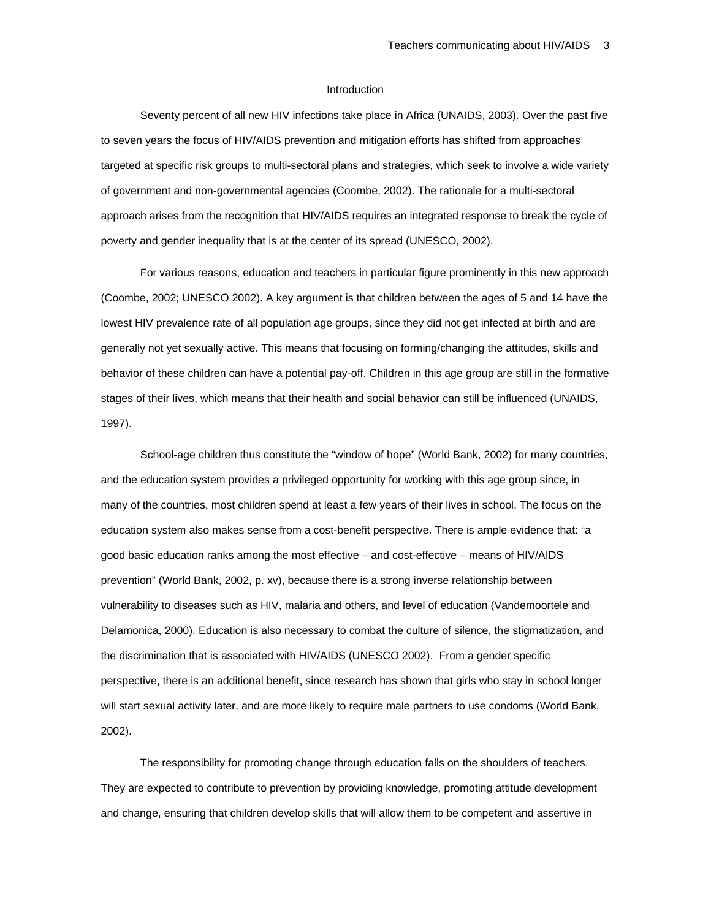#### Introduction

Seventy percent of all new HIV infections take place in Africa (UNAIDS, 2003). Over the past five to seven years the focus of HIV/AIDS prevention and mitigation efforts has shifted from approaches targeted at specific risk groups to multi-sectoral plans and strategies, which seek to involve a wide variety of government and non-governmental agencies (Coombe, 2002). The rationale for a multi-sectoral approach arises from the recognition that HIV/AIDS requires an integrated response to break the cycle of poverty and gender inequality that is at the center of its spread (UNESCO, 2002).

For various reasons, education and teachers in particular figure prominently in this new approach (Coombe, 2002; UNESCO 2002). A key argument is that children between the ages of 5 and 14 have the lowest HIV prevalence rate of all population age groups, since they did not get infected at birth and are generally not yet sexually active. This means that focusing on forming/changing the attitudes, skills and behavior of these children can have a potential pay-off. Children in this age group are still in the formative stages of their lives, which means that their health and social behavior can still be influenced (UNAIDS, 1997).

School-age children thus constitute the "window of hope" (World Bank, 2002) for many countries, and the education system provides a privileged opportunity for working with this age group since, in many of the countries, most children spend at least a few years of their lives in school. The focus on the education system also makes sense from a cost-benefit perspective. There is ample evidence that: "a good basic education ranks among the most effective – and cost-effective – means of HIV/AIDS prevention" (World Bank, 2002, p. xv), because there is a strong inverse relationship between vulnerability to diseases such as HIV, malaria and others, and level of education (Vandemoortele and Delamonica, 2000). Education is also necessary to combat the culture of silence, the stigmatization, and the discrimination that is associated with HIV/AIDS (UNESCO 2002). From a gender specific perspective, there is an additional benefit, since research has shown that girls who stay in school longer will start sexual activity later, and are more likely to require male partners to use condoms (World Bank, 2002).

The responsibility for promoting change through education falls on the shoulders of teachers. They are expected to contribute to prevention by providing knowledge, promoting attitude development and change, ensuring that children develop skills that will allow them to be competent and assertive in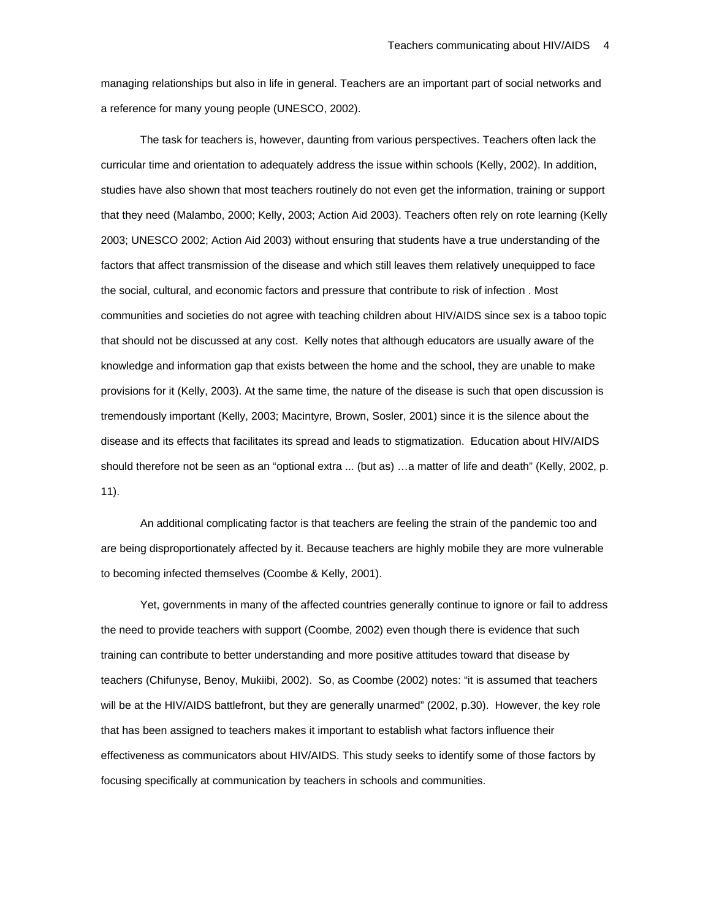managing relationships but also in life in general. Teachers are an important part of social networks and a reference for many young people (UNESCO, 2002).

The task for teachers is, however, daunting from various perspectives. Teachers often lack the curricular time and orientation to adequately address the issue within schools (Kelly, 2002). In addition, studies have also shown that most teachers routinely do not even get the information, training or support that they need (Malambo, 2000; Kelly, 2003; Action Aid 2003). Teachers often rely on rote learning (Kelly 2003; UNESCO 2002; Action Aid 2003) without ensuring that students have a true understanding of the factors that affect transmission of the disease and which still leaves them relatively unequipped to face the social, cultural, and economic factors and pressure that contribute to risk of infection . Most communities and societies do not agree with teaching children about HIV/AIDS since sex is a taboo topic that should not be discussed at any cost. Kelly notes that although educators are usually aware of the knowledge and information gap that exists between the home and the school, they are unable to make provisions for it (Kelly, 2003). At the same time, the nature of the disease is such that open discussion is tremendously important (Kelly, 2003; Macintyre, Brown, Sosler, 2001) since it is the silence about the disease and its effects that facilitates its spread and leads to stigmatization. Education about HIV/AIDS should therefore not be seen as an "optional extra ... (but as) …a matter of life and death" (Kelly, 2002, p. 11).

An additional complicating factor is that teachers are feeling the strain of the pandemic too and are being disproportionately affected by it. Because teachers are highly mobile they are more vulnerable to becoming infected themselves (Coombe & Kelly, 2001).

Yet, governments in many of the affected countries generally continue to ignore or fail to address the need to provide teachers with support (Coombe, 2002) even though there is evidence that such training can contribute to better understanding and more positive attitudes toward that disease by teachers (Chifunyse, Benoy, Mukiibi, 2002). So, as Coombe (2002) notes: "it is assumed that teachers will be at the HIV/AIDS battlefront, but they are generally unarmed" (2002, p.30). However, the key role that has been assigned to teachers makes it important to establish what factors influence their effectiveness as communicators about HIV/AIDS. This study seeks to identify some of those factors by focusing specifically at communication by teachers in schools and communities.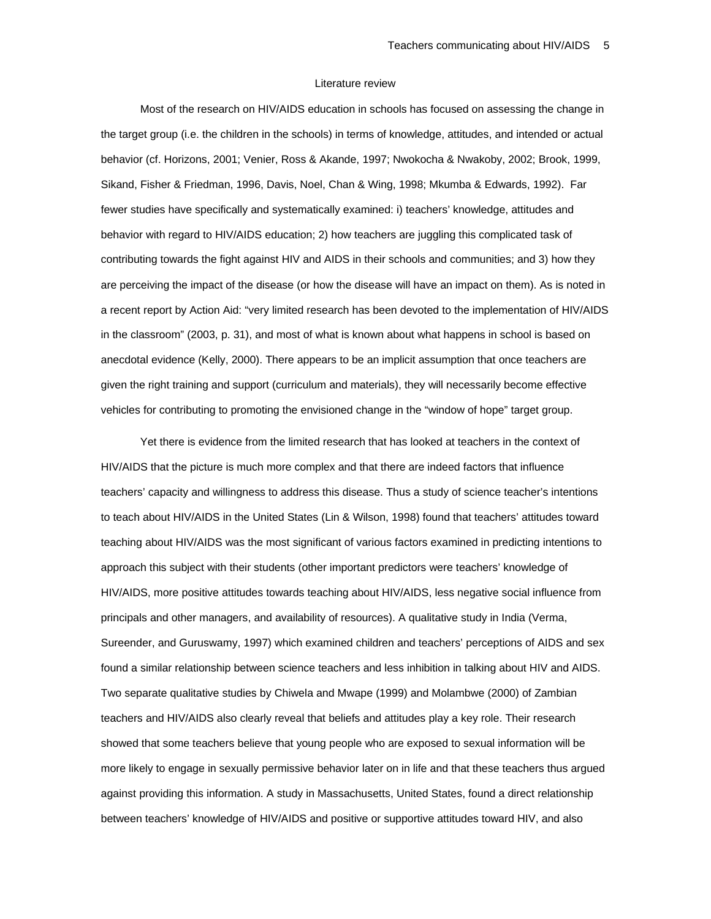#### Literature review

Most of the research on HIV/AIDS education in schools has focused on assessing the change in the target group (i.e. the children in the schools) in terms of knowledge, attitudes, and intended or actual behavior (cf. Horizons, 2001; Venier, Ross & Akande, 1997; Nwokocha & Nwakoby, 2002; Brook, 1999, Sikand, Fisher & Friedman, 1996, Davis, Noel, Chan & Wing, 1998; Mkumba & Edwards, 1992). Far fewer studies have specifically and systematically examined: i) teachers' knowledge, attitudes and behavior with regard to HIV/AIDS education; 2) how teachers are juggling this complicated task of contributing towards the fight against HIV and AIDS in their schools and communities; and 3) how they are perceiving the impact of the disease (or how the disease will have an impact on them). As is noted in a recent report by Action Aid: "very limited research has been devoted to the implementation of HIV/AIDS in the classroom" (2003, p. 31), and most of what is known about what happens in school is based on anecdotal evidence (Kelly, 2000). There appears to be an implicit assumption that once teachers are given the right training and support (curriculum and materials), they will necessarily become effective vehicles for contributing to promoting the envisioned change in the "window of hope" target group.

Yet there is evidence from the limited research that has looked at teachers in the context of HIV/AIDS that the picture is much more complex and that there are indeed factors that influence teachers' capacity and willingness to address this disease. Thus a study of science teacher's intentions to teach about HIV/AIDS in the United States (Lin & Wilson, 1998) found that teachers' attitudes toward teaching about HIV/AIDS was the most significant of various factors examined in predicting intentions to approach this subject with their students (other important predictors were teachers' knowledge of HIV/AIDS, more positive attitudes towards teaching about HIV/AIDS, less negative social influence from principals and other managers, and availability of resources). A qualitative study in India (Verma, Sureender, and Guruswamy, 1997) which examined children and teachers' perceptions of AIDS and sex found a similar relationship between science teachers and less inhibition in talking about HIV and AIDS. Two separate qualitative studies by Chiwela and Mwape (1999) and Molambwe (2000) of Zambian teachers and HIV/AIDS also clearly reveal that beliefs and attitudes play a key role. Their research showed that some teachers believe that young people who are exposed to sexual information will be more likely to engage in sexually permissive behavior later on in life and that these teachers thus argued against providing this information. A study in Massachusetts, United States, found a direct relationship between teachers' knowledge of HIV/AIDS and positive or supportive attitudes toward HIV, and also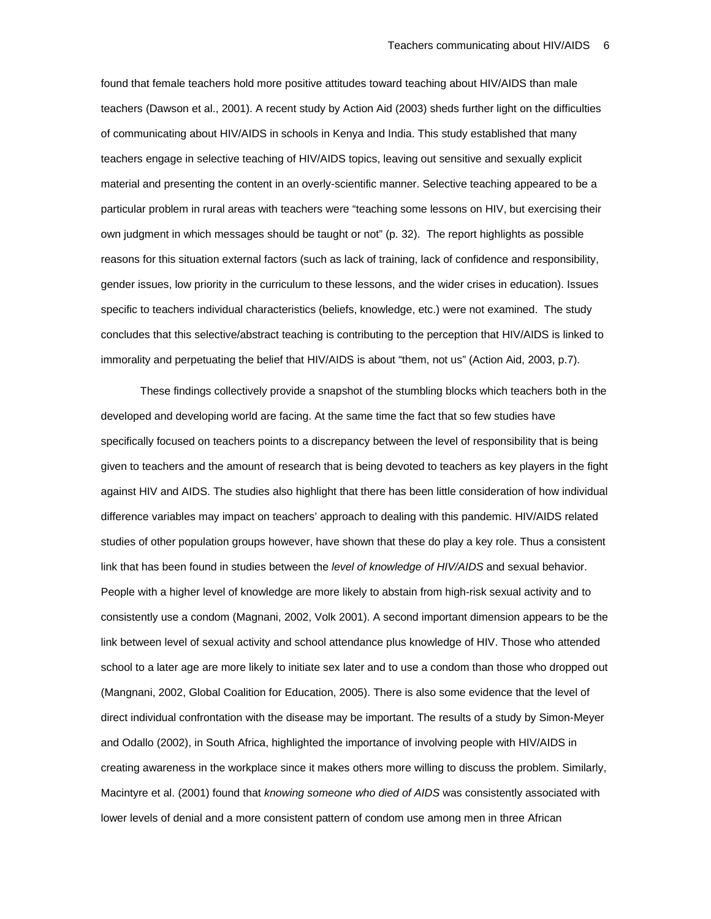found that female teachers hold more positive attitudes toward teaching about HIV/AIDS than male teachers (Dawson et al., 2001). A recent study by Action Aid (2003) sheds further light on the difficulties of communicating about HIV/AIDS in schools in Kenya and India. This study established that many teachers engage in selective teaching of HIV/AIDS topics, leaving out sensitive and sexually explicit material and presenting the content in an overly-scientific manner. Selective teaching appeared to be a particular problem in rural areas with teachers were "teaching some lessons on HIV, but exercising their own judgment in which messages should be taught or not" (p. 32). The report highlights as possible reasons for this situation external factors (such as lack of training, lack of confidence and responsibility, gender issues, low priority in the curriculum to these lessons, and the wider crises in education). Issues specific to teachers individual characteristics (beliefs, knowledge, etc.) were not examined. The study concludes that this selective/abstract teaching is contributing to the perception that HIV/AIDS is linked to immorality and perpetuating the belief that HIV/AIDS is about "them, not us" (Action Aid, 2003, p.7).

These findings collectively provide a snapshot of the stumbling blocks which teachers both in the developed and developing world are facing. At the same time the fact that so few studies have specifically focused on teachers points to a discrepancy between the level of responsibility that is being given to teachers and the amount of research that is being devoted to teachers as key players in the fight against HIV and AIDS. The studies also highlight that there has been little consideration of how individual difference variables may impact on teachers' approach to dealing with this pandemic. HIV/AIDS related studies of other population groups however, have shown that these do play a key role. Thus a consistent link that has been found in studies between the *level of knowledge of HIV/AIDS* and sexual behavior. People with a higher level of knowledge are more likely to abstain from high-risk sexual activity and to consistently use a condom (Magnani, 2002, Volk 2001). A second important dimension appears to be the link between level of sexual activity and school attendance plus knowledge of HIV. Those who attended school to a later age are more likely to initiate sex later and to use a condom than those who dropped out (Mangnani, 2002, Global Coalition for Education, 2005). There is also some evidence that the level of direct individual confrontation with the disease may be important. The results of a study by Simon-Meyer and Odallo (2002), in South Africa, highlighted the importance of involving people with HIV/AIDS in creating awareness in the workplace since it makes others more willing to discuss the problem. Similarly, Macintyre et al. (2001) found that *knowing someone who died of AIDS* was consistently associated with lower levels of denial and a more consistent pattern of condom use among men in three African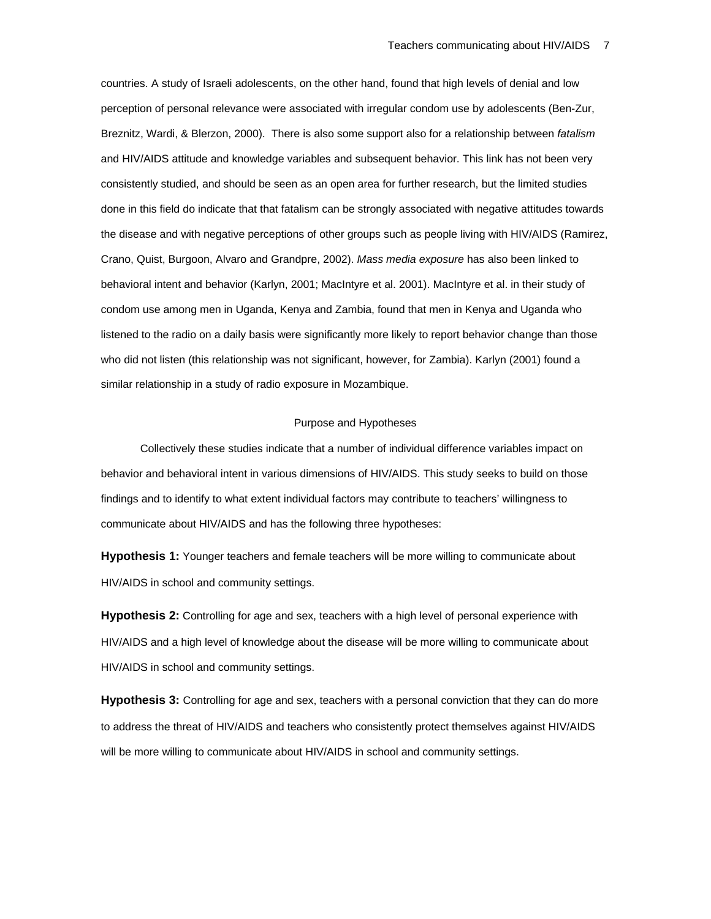countries. A study of Israeli adolescents, on the other hand, found that high levels of denial and low perception of personal relevance were associated with irregular condom use by adolescents (Ben-Zur, Breznitz, Wardi, & Blerzon, 2000). There is also some support also for a relationship between *fatalism* and HIV/AIDS attitude and knowledge variables and subsequent behavior. This link has not been very consistently studied, and should be seen as an open area for further research, but the limited studies done in this field do indicate that that fatalism can be strongly associated with negative attitudes towards the disease and with negative perceptions of other groups such as people living with HIV/AIDS (Ramirez, Crano, Quist, Burgoon, Alvaro and Grandpre, 2002). *Mass media exposure* has also been linked to behavioral intent and behavior (Karlyn, 2001; MacIntyre et al. 2001). MacIntyre et al. in their study of condom use among men in Uganda, Kenya and Zambia, found that men in Kenya and Uganda who listened to the radio on a daily basis were significantly more likely to report behavior change than those who did not listen (this relationship was not significant, however, for Zambia). Karlyn (2001) found a similar relationship in a study of radio exposure in Mozambique.

#### Purpose and Hypotheses

Collectively these studies indicate that a number of individual difference variables impact on behavior and behavioral intent in various dimensions of HIV/AIDS. This study seeks to build on those findings and to identify to what extent individual factors may contribute to teachers' willingness to communicate about HIV/AIDS and has the following three hypotheses:

**Hypothesis 1:** Younger teachers and female teachers will be more willing to communicate about HIV/AIDS in school and community settings.

**Hypothesis 2:** Controlling for age and sex, teachers with a high level of personal experience with HIV/AIDS and a high level of knowledge about the disease will be more willing to communicate about HIV/AIDS in school and community settings.

**Hypothesis 3:** Controlling for age and sex, teachers with a personal conviction that they can do more to address the threat of HIV/AIDS and teachers who consistently protect themselves against HIV/AIDS will be more willing to communicate about HIV/AIDS in school and community settings.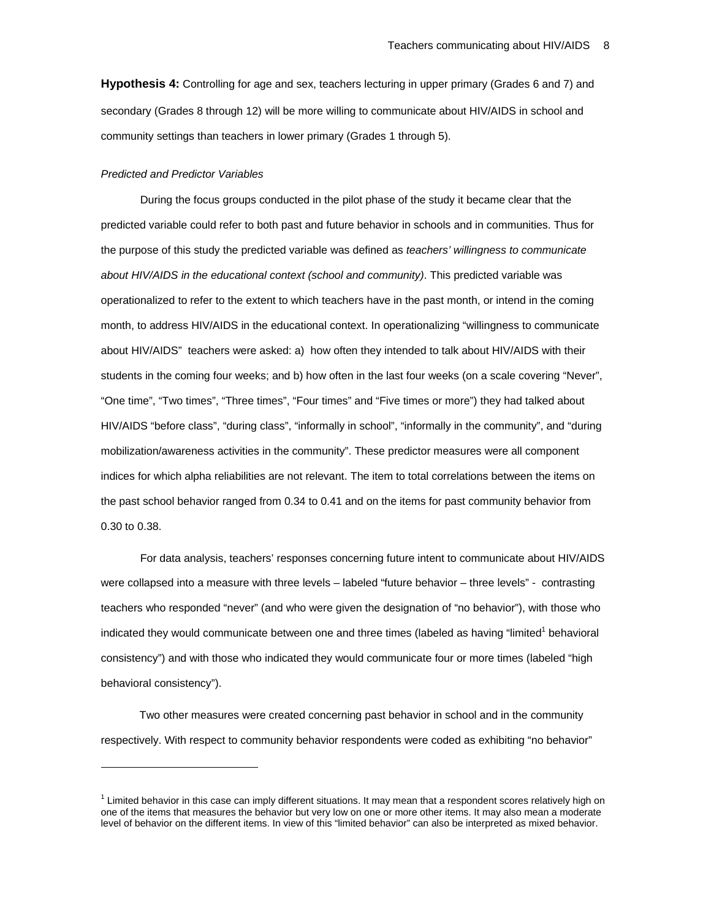**Hypothesis 4:** Controlling for age and sex, teachers lecturing in upper primary (Grades 6 and 7) and secondary (Grades 8 through 12) will be more willing to communicate about HIV/AIDS in school and community settings than teachers in lower primary (Grades 1 through 5).

#### *Predicted and Predictor Variables*

 $\overline{a}$ 

During the focus groups conducted in the pilot phase of the study it became clear that the predicted variable could refer to both past and future behavior in schools and in communities. Thus for the purpose of this study the predicted variable was defined as *teachers' willingness to communicate about HIV/AIDS in the educational context (school and community)*. This predicted variable was operationalized to refer to the extent to which teachers have in the past month, or intend in the coming month, to address HIV/AIDS in the educational context. In operationalizing "willingness to communicate about HIV/AIDS" teachers were asked: a) how often they intended to talk about HIV/AIDS with their students in the coming four weeks; and b) how often in the last four weeks (on a scale covering "Never", "One time", "Two times", "Three times", "Four times" and "Five times or more") they had talked about HIV/AIDS "before class", "during class", "informally in school", "informally in the community", and "during mobilization/awareness activities in the community". These predictor measures were all component indices for which alpha reliabilities are not relevant. The item to total correlations between the items on the past school behavior ranged from 0.34 to 0.41 and on the items for past community behavior from 0.30 to 0.38.

For data analysis, teachers' responses concerning future intent to communicate about HIV/AIDS were collapsed into a measure with three levels – labeled "future behavior – three levels" - contrasting teachers who responded "never" (and who were given the designation of "no behavior"), with those who indicated they would communicate between one and three times (labeled as having "limited<sup>1</sup> behavioral consistency") and with those who indicated they would communicate four or more times (labeled "high behavioral consistency").

Two other measures were created concerning past behavior in school and in the community respectively. With respect to community behavior respondents were coded as exhibiting "no behavior"

 $1$  Limited behavior in this case can imply different situations. It may mean that a respondent scores relatively high on one of the items that measures the behavior but very low on one or more other items. It may also mean a moderate level of behavior on the different items. In view of this "limited behavior" can also be interpreted as mixed behavior.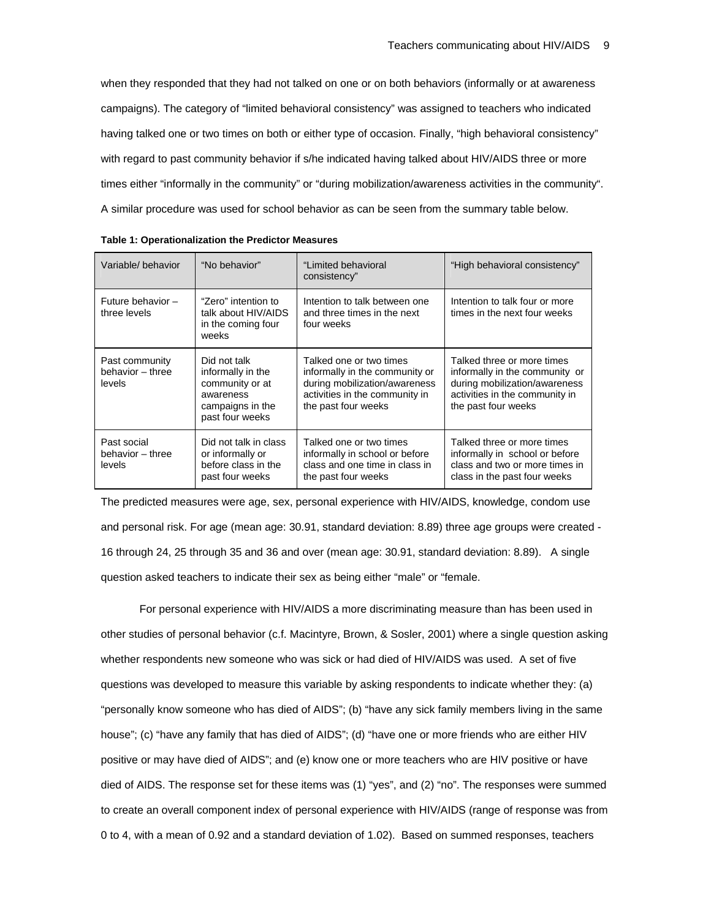when they responded that they had not talked on one or on both behaviors (informally or at awareness campaigns). The category of "limited behavioral consistency" was assigned to teachers who indicated having talked one or two times on both or either type of occasion. Finally, "high behavioral consistency" with regard to past community behavior if s/he indicated having talked about HIV/AIDS three or more times either "informally in the community" or "during mobilization/awareness activities in the community". A similar procedure was used for school behavior as can be seen from the summary table below.

| Variable/behavior                            | "No behavior"                                                                                            | "Limited behavioral<br>consistency"                                                                                                                 | "High behavioral consistency"                                                                                                                          |
|----------------------------------------------|----------------------------------------------------------------------------------------------------------|-----------------------------------------------------------------------------------------------------------------------------------------------------|--------------------------------------------------------------------------------------------------------------------------------------------------------|
| Future behavior -<br>three levels            | "Zero" intention to<br>talk about HIV/AIDS<br>in the coming four<br>weeks                                | Intention to talk between one<br>and three times in the next<br>four weeks                                                                          | Intention to talk four or more<br>times in the next four weeks                                                                                         |
| Past community<br>behavior - three<br>levels | Did not talk<br>informally in the<br>community or at<br>awareness<br>campaigns in the<br>past four weeks | Talked one or two times<br>informally in the community or<br>during mobilization/awareness<br>activities in the community in<br>the past four weeks | Talked three or more times<br>informally in the community or<br>during mobilization/awareness<br>activities in the community in<br>the past four weeks |
| Past social<br>behavior - three<br>levels    | Did not talk in class<br>or informally or<br>before class in the<br>past four weeks                      | Talked one or two times<br>informally in school or before<br>class and one time in class in<br>the past four weeks                                  | Talked three or more times<br>informally in school or before<br>class and two or more times in<br>class in the past four weeks                         |

|  |  | Table 1: Operationalization the Predictor Measures |  |  |  |
|--|--|----------------------------------------------------|--|--|--|
|--|--|----------------------------------------------------|--|--|--|

The predicted measures were age, sex, personal experience with HIV/AIDS, knowledge, condom use and personal risk. For age (mean age: 30.91, standard deviation: 8.89) three age groups were created - 16 through 24, 25 through 35 and 36 and over (mean age: 30.91, standard deviation: 8.89). A single question asked teachers to indicate their sex as being either "male" or "female.

For personal experience with HIV/AIDS a more discriminating measure than has been used in other studies of personal behavior (c.f. Macintyre, Brown, & Sosler, 2001) where a single question asking whether respondents new someone who was sick or had died of HIV/AIDS was used. A set of five questions was developed to measure this variable by asking respondents to indicate whether they: (a) "personally know someone who has died of AIDS"; (b) "have any sick family members living in the same house"; (c) "have any family that has died of AIDS"; (d) "have one or more friends who are either HIV positive or may have died of AIDS"; and (e) know one or more teachers who are HIV positive or have died of AIDS. The response set for these items was (1) "yes", and (2) "no". The responses were summed to create an overall component index of personal experience with HIV/AIDS (range of response was from 0 to 4, with a mean of 0.92 and a standard deviation of 1.02). Based on summed responses, teachers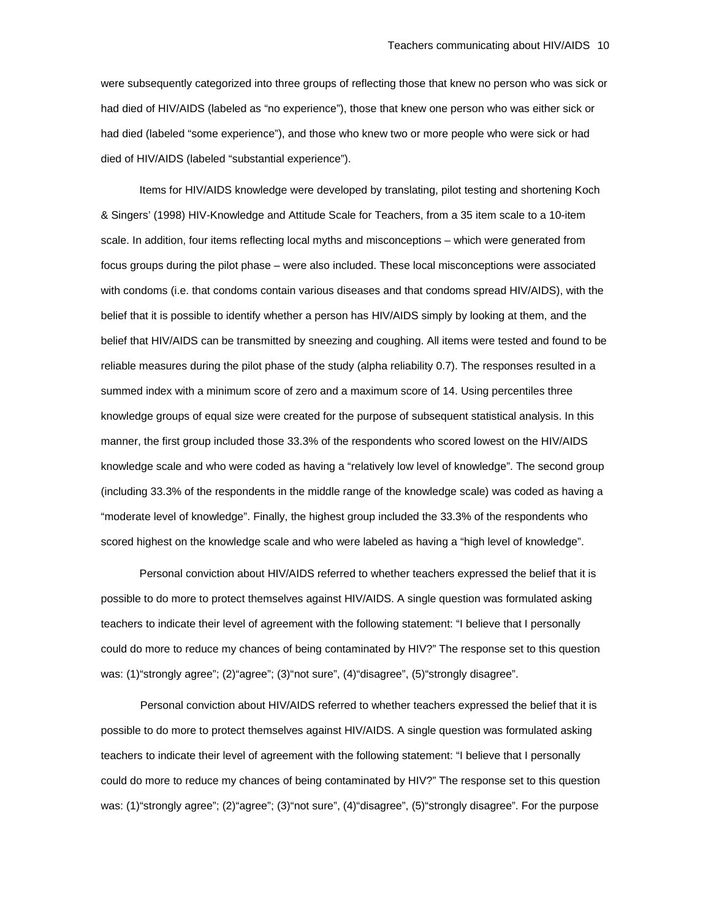were subsequently categorized into three groups of reflecting those that knew no person who was sick or had died of HIV/AIDS (labeled as "no experience"), those that knew one person who was either sick or had died (labeled "some experience"), and those who knew two or more people who were sick or had died of HIV/AIDS (labeled "substantial experience").

Items for HIV/AIDS knowledge were developed by translating, pilot testing and shortening Koch & Singers' (1998) HIV-Knowledge and Attitude Scale for Teachers, from a 35 item scale to a 10-item scale. In addition, four items reflecting local myths and misconceptions – which were generated from focus groups during the pilot phase – were also included. These local misconceptions were associated with condoms (i.e. that condoms contain various diseases and that condoms spread HIV/AIDS), with the belief that it is possible to identify whether a person has HIV/AIDS simply by looking at them, and the belief that HIV/AIDS can be transmitted by sneezing and coughing. All items were tested and found to be reliable measures during the pilot phase of the study (alpha reliability 0.7). The responses resulted in a summed index with a minimum score of zero and a maximum score of 14. Using percentiles three knowledge groups of equal size were created for the purpose of subsequent statistical analysis. In this manner, the first group included those 33.3% of the respondents who scored lowest on the HIV/AIDS knowledge scale and who were coded as having a "relatively low level of knowledge". The second group (including 33.3% of the respondents in the middle range of the knowledge scale) was coded as having a "moderate level of knowledge". Finally, the highest group included the 33.3% of the respondents who scored highest on the knowledge scale and who were labeled as having a "high level of knowledge".

Personal conviction about HIV/AIDS referred to whether teachers expressed the belief that it is possible to do more to protect themselves against HIV/AIDS. A single question was formulated asking teachers to indicate their level of agreement with the following statement: "I believe that I personally could do more to reduce my chances of being contaminated by HIV?" The response set to this question was: (1) "strongly agree"; (2) "agree"; (3) "not sure", (4) "disagree", (5) "strongly disagree".

Personal conviction about HIV/AIDS referred to whether teachers expressed the belief that it is possible to do more to protect themselves against HIV/AIDS. A single question was formulated asking teachers to indicate their level of agreement with the following statement: "I believe that I personally could do more to reduce my chances of being contaminated by HIV?" The response set to this question was: (1)"strongly agree"; (2)"agree"; (3)"not sure", (4)"disagree", (5)"strongly disagree". For the purpose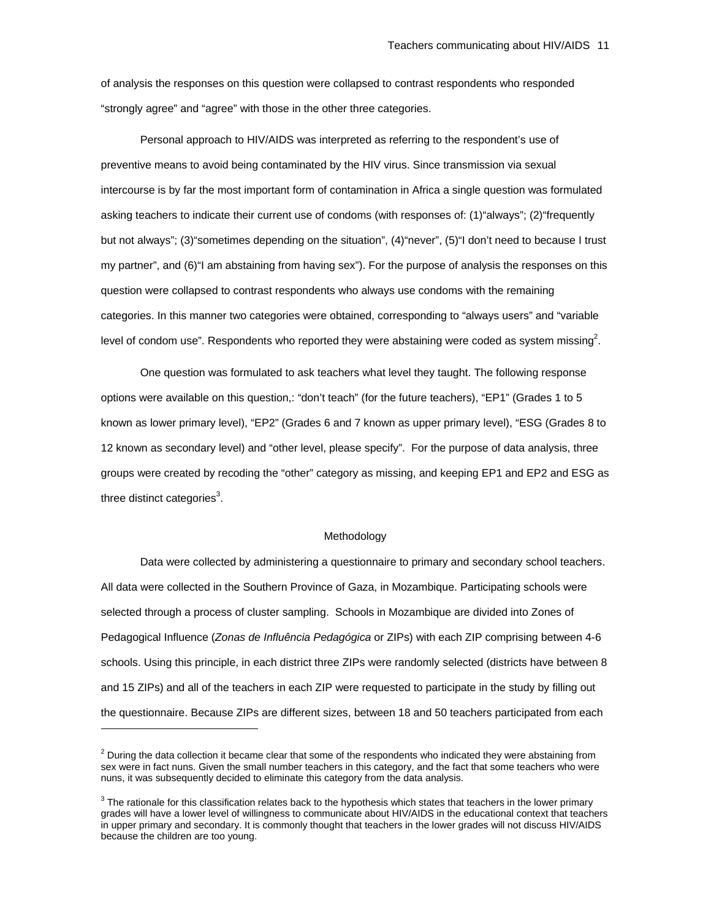of analysis the responses on this question were collapsed to contrast respondents who responded "strongly agree" and "agree" with those in the other three categories.

Personal approach to HIV/AIDS was interpreted as referring to the respondent's use of preventive means to avoid being contaminated by the HIV virus. Since transmission via sexual intercourse is by far the most important form of contamination in Africa a single question was formulated asking teachers to indicate their current use of condoms (with responses of: (1)"always"; (2)"frequently but not always"; (3)"sometimes depending on the situation", (4)"never", (5)"I don't need to because I trust my partner", and (6)"I am abstaining from having sex"). For the purpose of analysis the responses on this question were collapsed to contrast respondents who always use condoms with the remaining categories. In this manner two categories were obtained, corresponding to "always users" and "variable level of condom use". Respondents who reported they were abstaining were coded as system missing<sup>2</sup>.

One question was formulated to ask teachers what level they taught. The following response options were available on this question,: "don't teach" (for the future teachers), "EP1" (Grades 1 to 5 known as lower primary level), "EP2" (Grades 6 and 7 known as upper primary level), "ESG (Grades 8 to 12 known as secondary level) and "other level, please specify". For the purpose of data analysis, three groups were created by recoding the "other" category as missing, and keeping EP1 and EP2 and ESG as three distinct categories $^3$ .

#### Methodology

Data were collected by administering a questionnaire to primary and secondary school teachers. All data were collected in the Southern Province of Gaza, in Mozambique. Participating schools were selected through a process of cluster sampling. Schools in Mozambique are divided into Zones of Pedagogical Influence (*Zonas de Influência Pedagógica* or ZIPs) with each ZIP comprising between 4-6 schools. Using this principle, in each district three ZIPs were randomly selected (districts have between 8 and 15 ZIPs) and all of the teachers in each ZIP were requested to participate in the study by filling out the questionnaire. Because ZIPs are different sizes, between 18 and 50 teachers participated from each

 $\overline{a}$ 

 $<sup>2</sup>$  During the data collection it became clear that some of the respondents who indicated they were abstaining from</sup> sex were in fact nuns. Given the small number teachers in this category, and the fact that some teachers who were nuns, it was subsequently decided to eliminate this category from the data analysis.

 $3$  The rationale for this classification relates back to the hypothesis which states that teachers in the lower primary grades will have a lower level of willingness to communicate about HIV/AIDS in the educational context that teachers in upper primary and secondary. It is commonly thought that teachers in the lower grades will not discuss HIV/AIDS because the children are too young.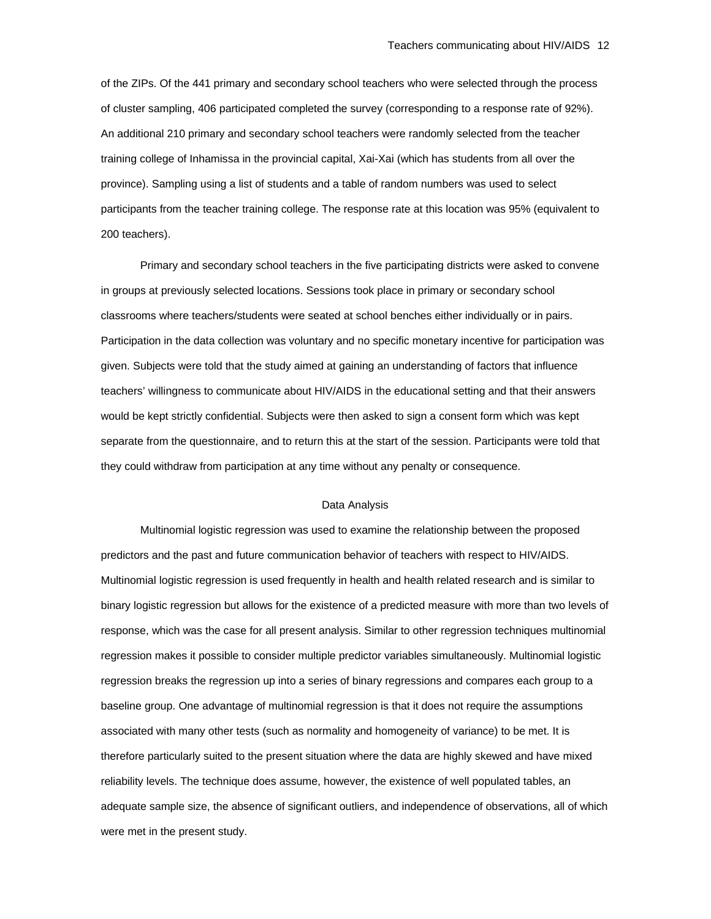of the ZIPs. Of the 441 primary and secondary school teachers who were selected through the process of cluster sampling, 406 participated completed the survey (corresponding to a response rate of 92%). An additional 210 primary and secondary school teachers were randomly selected from the teacher training college of Inhamissa in the provincial capital, Xai-Xai (which has students from all over the province). Sampling using a list of students and a table of random numbers was used to select participants from the teacher training college. The response rate at this location was 95% (equivalent to 200 teachers).

Primary and secondary school teachers in the five participating districts were asked to convene in groups at previously selected locations. Sessions took place in primary or secondary school classrooms where teachers/students were seated at school benches either individually or in pairs. Participation in the data collection was voluntary and no specific monetary incentive for participation was given. Subjects were told that the study aimed at gaining an understanding of factors that influence teachers' willingness to communicate about HIV/AIDS in the educational setting and that their answers would be kept strictly confidential. Subjects were then asked to sign a consent form which was kept separate from the questionnaire, and to return this at the start of the session. Participants were told that they could withdraw from participation at any time without any penalty or consequence.

### Data Analysis

Multinomial logistic regression was used to examine the relationship between the proposed predictors and the past and future communication behavior of teachers with respect to HIV/AIDS. Multinomial logistic regression is used frequently in health and health related research and is similar to binary logistic regression but allows for the existence of a predicted measure with more than two levels of response, which was the case for all present analysis. Similar to other regression techniques multinomial regression makes it possible to consider multiple predictor variables simultaneously. Multinomial logistic regression breaks the regression up into a series of binary regressions and compares each group to a baseline group. One advantage of multinomial regression is that it does not require the assumptions associated with many other tests (such as normality and homogeneity of variance) to be met. It is therefore particularly suited to the present situation where the data are highly skewed and have mixed reliability levels. The technique does assume, however, the existence of well populated tables, an adequate sample size, the absence of significant outliers, and independence of observations, all of which were met in the present study.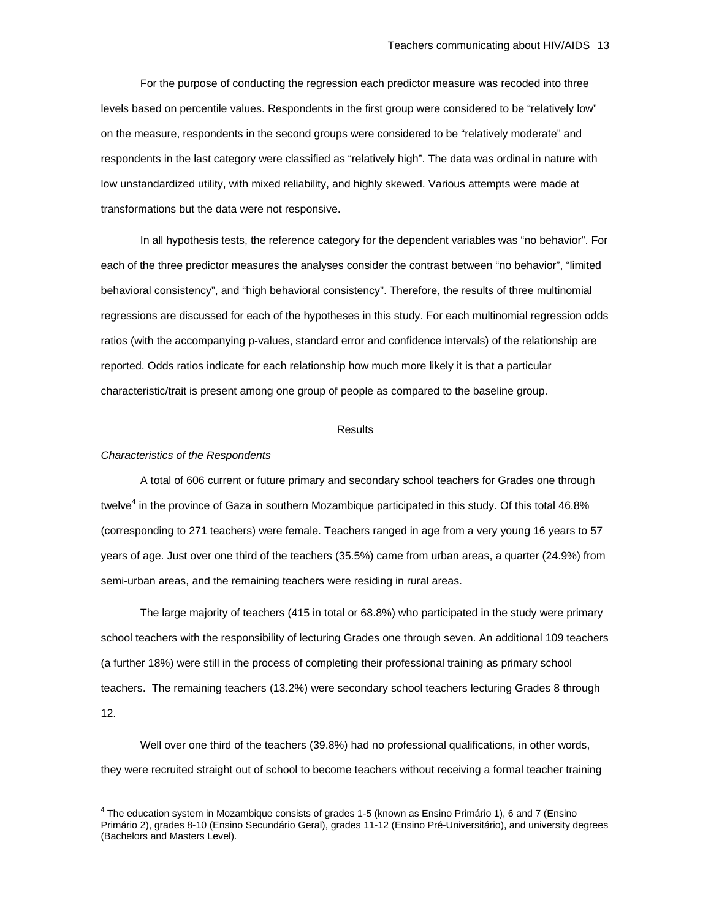For the purpose of conducting the regression each predictor measure was recoded into three levels based on percentile values. Respondents in the first group were considered to be "relatively low" on the measure, respondents in the second groups were considered to be "relatively moderate" and respondents in the last category were classified as "relatively high". The data was ordinal in nature with low unstandardized utility, with mixed reliability, and highly skewed. Various attempts were made at transformations but the data were not responsive.

In all hypothesis tests, the reference category for the dependent variables was "no behavior". For each of the three predictor measures the analyses consider the contrast between "no behavior", "limited behavioral consistency", and "high behavioral consistency". Therefore, the results of three multinomial regressions are discussed for each of the hypotheses in this study. For each multinomial regression odds ratios (with the accompanying p-values, standard error and confidence intervals) of the relationship are reported. Odds ratios indicate for each relationship how much more likely it is that a particular characteristic/trait is present among one group of people as compared to the baseline group.

#### **Results**

#### *Characteristics of the Respondents*

 $\overline{a}$ 

A total of 606 current or future primary and secondary school teachers for Grades one through twelve<sup>4</sup> in the province of Gaza in southern Mozambique participated in this study. Of this total 46.8% (corresponding to 271 teachers) were female. Teachers ranged in age from a very young 16 years to 57 years of age. Just over one third of the teachers (35.5%) came from urban areas, a quarter (24.9%) from semi-urban areas, and the remaining teachers were residing in rural areas.

The large majority of teachers (415 in total or 68.8%) who participated in the study were primary school teachers with the responsibility of lecturing Grades one through seven. An additional 109 teachers (a further 18%) were still in the process of completing their professional training as primary school teachers. The remaining teachers (13.2%) were secondary school teachers lecturing Grades 8 through 12.

Well over one third of the teachers (39.8%) had no professional qualifications, in other words, they were recruited straight out of school to become teachers without receiving a formal teacher training

<sup>4</sup> The education system in Mozambique consists of grades 1-5 (known as Ensino Primário 1), 6 and 7 (Ensino Primário 2), grades 8-10 (Ensino Secundário Geral), grades 11-12 (Ensino Pré-Universitário), and university degrees (Bachelors and Masters Level).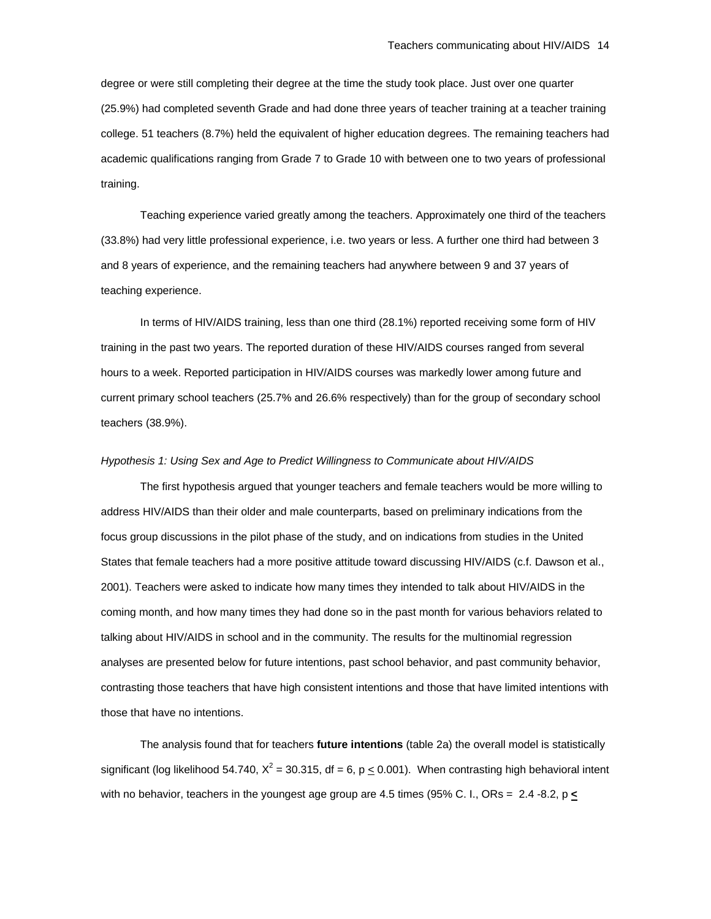degree or were still completing their degree at the time the study took place. Just over one quarter (25.9%) had completed seventh Grade and had done three years of teacher training at a teacher training college. 51 teachers (8.7%) held the equivalent of higher education degrees. The remaining teachers had academic qualifications ranging from Grade 7 to Grade 10 with between one to two years of professional training.

Teaching experience varied greatly among the teachers. Approximately one third of the teachers (33.8%) had very little professional experience, i.e. two years or less. A further one third had between 3 and 8 years of experience, and the remaining teachers had anywhere between 9 and 37 years of teaching experience.

In terms of HIV/AIDS training, less than one third (28.1%) reported receiving some form of HIV training in the past two years. The reported duration of these HIV/AIDS courses ranged from several hours to a week. Reported participation in HIV/AIDS courses was markedly lower among future and current primary school teachers (25.7% and 26.6% respectively) than for the group of secondary school teachers (38.9%).

#### *Hypothesis 1: Using Sex and Age to Predict Willingness to Communicate about HIV/AIDS*

The first hypothesis argued that younger teachers and female teachers would be more willing to address HIV/AIDS than their older and male counterparts, based on preliminary indications from the focus group discussions in the pilot phase of the study, and on indications from studies in the United States that female teachers had a more positive attitude toward discussing HIV/AIDS (c.f. Dawson et al., 2001). Teachers were asked to indicate how many times they intended to talk about HIV/AIDS in the coming month, and how many times they had done so in the past month for various behaviors related to talking about HIV/AIDS in school and in the community. The results for the multinomial regression analyses are presented below for future intentions, past school behavior, and past community behavior, contrasting those teachers that have high consistent intentions and those that have limited intentions with those that have no intentions.

The analysis found that for teachers **future intentions** (table 2a) the overall model is statistically significant (log likelihood 54.740,  $X^2$  = 30.315, df = 6, p  $\leq$  0.001). When contrasting high behavioral intent with no behavior, teachers in the youngest age group are 4.5 times (95% C. I., ORs = 2.4 -8.2, p **<**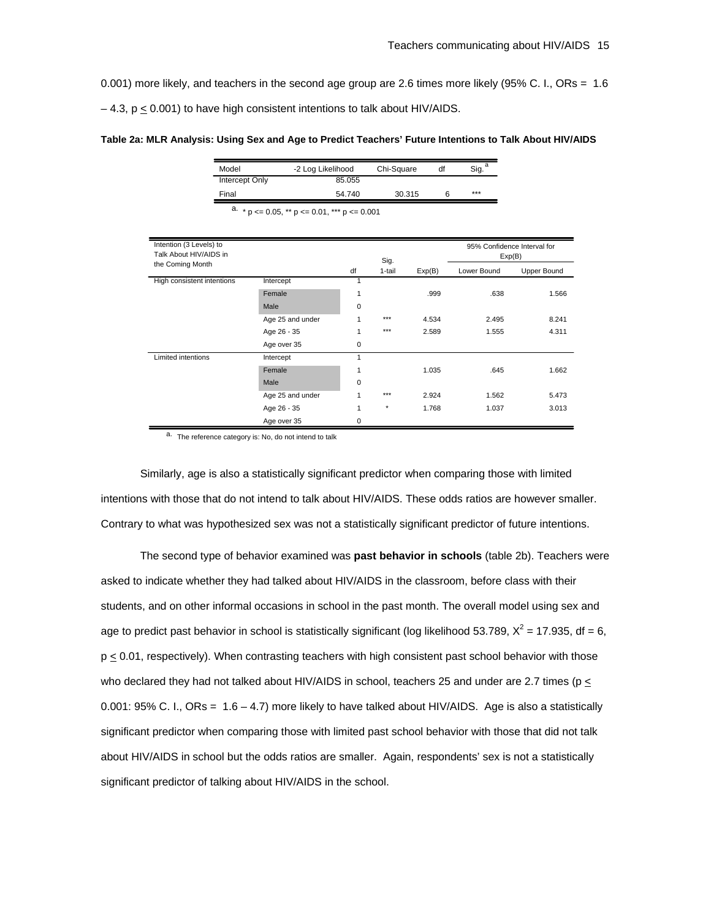0.001) more likely, and teachers in the second age group are 2.6 times more likely (95% C. I., ORs = 1.6

 $-4.3$ ,  $p \le 0.001$ ) to have high consistent intentions to talk about HIV/AIDS.

|  |  |  | Table 2a: MLR Analysis: Using Sex and Age to Predict Teachers' Future Intentions to Talk About HIV/AIDS |
|--|--|--|---------------------------------------------------------------------------------------------------------|
|  |  |  |                                                                                                         |

| Model          | -2 Log Likelihood | Chi-Square | df | Sig. |
|----------------|-------------------|------------|----|------|
| Intercept Only | 85.055            |            |    |      |
| Final          | 54.740            | 30.315     |    | ***  |

a.  $*$  p  $\lt=$  0.05,  $**$  p  $\lt=$  0.01,  $***$  p  $\lt=$  0.001

| Intention (3 Levels) to<br>Talk About HIV/AIDS in |                  |             | Sig.    |        | 95% Confidence Interval for<br>Exp(B) |             |
|---------------------------------------------------|------------------|-------------|---------|--------|---------------------------------------|-------------|
| the Coming Month                                  |                  | df          | 1-tail  | Exp(B) | Lower Bound                           | Upper Bound |
| High consistent intentions                        | Intercept        |             |         |        |                                       |             |
|                                                   | Female           | 1           |         | .999   | .638                                  | 1.566       |
|                                                   | Male             | $\mathbf 0$ |         |        |                                       |             |
|                                                   | Age 25 and under |             | ***     | 4.534  | 2.495                                 | 8.241       |
|                                                   | Age 26 - 35      | 1           | ***     | 2.589  | 1.555                                 | 4.311       |
|                                                   | Age over 35      | 0           |         |        |                                       |             |
| Limited intentions                                | Intercept        | 1           |         |        |                                       |             |
|                                                   | Female           | 1           |         | 1.035  | .645                                  | 1.662       |
|                                                   | Male             | $\mathbf 0$ |         |        |                                       |             |
|                                                   | Age 25 and under |             | ***     | 2.924  | 1.562                                 | 5.473       |
|                                                   | Age 26 - 35      | 1           | $\star$ | 1.768  | 1.037                                 | 3.013       |
|                                                   | Age over 35      | $\mathbf 0$ |         |        |                                       |             |

a. The reference category is: No, do not intend to talk

Similarly, age is also a statistically significant predictor when comparing those with limited intentions with those that do not intend to talk about HIV/AIDS. These odds ratios are however smaller. Contrary to what was hypothesized sex was not a statistically significant predictor of future intentions.

The second type of behavior examined was **past behavior in schools** (table 2b). Teachers were asked to indicate whether they had talked about HIV/AIDS in the classroom, before class with their students, and on other informal occasions in school in the past month. The overall model using sex and age to predict past behavior in school is statistically significant (log likelihood 53.789,  $X^2$  = 17.935, df = 6,  $p \le 0.01$ , respectively). When contrasting teachers with high consistent past school behavior with those who declared they had not talked about HIV/AIDS in school, teachers 25 and under are 2.7 times ( $p \le$ 0.001: 95% C. I., ORs = 1.6 – 4.7) more likely to have talked about HIV/AIDS. Age is also a statistically significant predictor when comparing those with limited past school behavior with those that did not talk about HIV/AIDS in school but the odds ratios are smaller. Again, respondents' sex is not a statistically significant predictor of talking about HIV/AIDS in the school.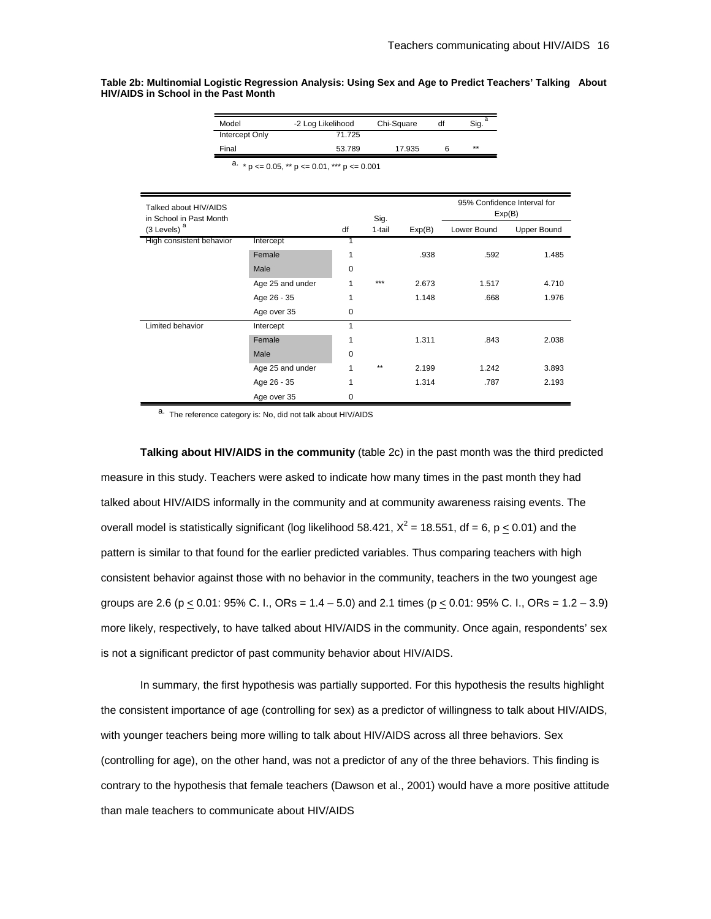**Table 2b: Multinomial Logistic Regression Analysis: Using Sex and Age to Predict Teachers' Talking About HIV/AIDS in School in the Past Month** 

| Model                 | -2 Log Likelihood | Chi-Square | df | Sig. |
|-----------------------|-------------------|------------|----|------|
| <b>Intercept Only</b> | 71.725            |            |    |      |
| Final                 | 53.789            | 17.935     |    | **   |

a.  $* p \le 0.05$ ,  $** p \le 0.01$ ,  $*** p \le 0.001$ 

| Talked about HIV/AIDS<br>in School in Past Month |                  |    | Sig.   |        | 95% Confidence Interval for<br>Exp(B) |                    |
|--------------------------------------------------|------------------|----|--------|--------|---------------------------------------|--------------------|
| (3 Levels)                                       |                  | df | 1-tail | Exp(B) | Lower Bound                           | <b>Upper Bound</b> |
| High consistent behavior                         | Intercept        |    |        |        |                                       |                    |
|                                                  | Female           | 1  |        | .938   | .592                                  | 1.485              |
|                                                  | Male             | 0  |        |        |                                       |                    |
|                                                  | Age 25 and under | 1  | ***    | 2.673  | 1.517                                 | 4.710              |
|                                                  | Age 26 - 35      | 1  |        | 1.148  | .668                                  | 1.976              |
|                                                  | Age over 35      | 0  |        |        |                                       |                    |
| Limited behavior                                 | Intercept        |    |        |        |                                       |                    |
|                                                  | Female           | 1  |        | 1.311  | .843                                  | 2.038              |
|                                                  | Male             | 0  |        |        |                                       |                    |
|                                                  | Age 25 and under |    | $**$   | 2.199  | 1.242                                 | 3.893              |
|                                                  | Age 26 - 35      | 1  |        | 1.314  | .787                                  | 2.193              |
|                                                  | Age over 35      | 0  |        |        |                                       |                    |

a. The reference category is: No, did not talk about HIV/AIDS

**Talking about HIV/AIDS in the community** (table 2c) in the past month was the third predicted measure in this study. Teachers were asked to indicate how many times in the past month they had talked about HIV/AIDS informally in the community and at community awareness raising events. The overall model is statistically significant (log likelihood 58.421,  $X^2$  = 18.551, df = 6, p  $\leq$  0.01) and the pattern is similar to that found for the earlier predicted variables. Thus comparing teachers with high consistent behavior against those with no behavior in the community, teachers in the two youngest age groups are 2.6 (p < 0.01:  $95\%$  C. I., ORs = 1.4 – 5.0) and 2.1 times (p < 0.01:  $95\%$  C. I., ORs = 1.2 – 3.9) more likely, respectively, to have talked about HIV/AIDS in the community. Once again, respondents' sex is not a significant predictor of past community behavior about HIV/AIDS.

In summary, the first hypothesis was partially supported. For this hypothesis the results highlight the consistent importance of age (controlling for sex) as a predictor of willingness to talk about HIV/AIDS, with younger teachers being more willing to talk about HIV/AIDS across all three behaviors. Sex (controlling for age), on the other hand, was not a predictor of any of the three behaviors. This finding is contrary to the hypothesis that female teachers (Dawson et al., 2001) would have a more positive attitude than male teachers to communicate about HIV/AIDS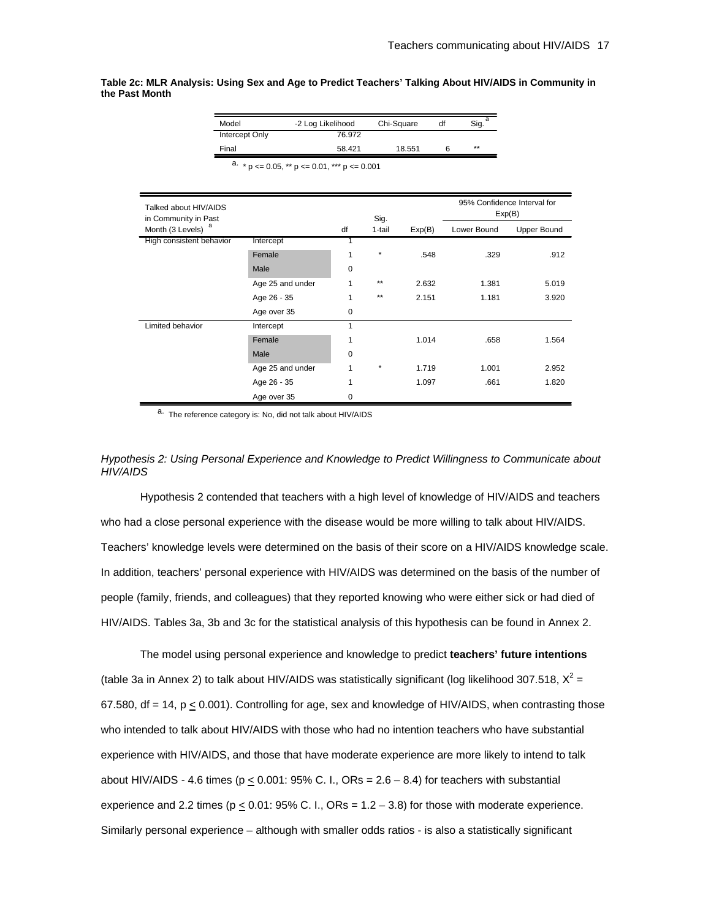**Table 2c: MLR Analysis: Using Sex and Age to Predict Teachers' Talking About HIV/AIDS in Community in the Past Month**

| Model                 | -2 Log Likelihood | Chi-Square | df | Sig. |
|-----------------------|-------------------|------------|----|------|
| <b>Intercept Only</b> | 76.972            |            |    |      |
| Final                 | 58.421            | 18.551     | 6  | **   |

a.  $* p \le 0.05$ ,  $** p \le 0.01$ ,  $*** p \le 0.001$ 

| Talked about HIV/AIDS                         |                  |    |                |        | 95% Confidence Interval for<br>Exp(B) |                    |
|-----------------------------------------------|------------------|----|----------------|--------|---------------------------------------|--------------------|
| in Community in Past<br>a<br>Month (3 Levels) |                  | df | Sig.<br>1-tail | Exp(B) | Lower Bound                           | <b>Upper Bound</b> |
| High consistent behavior                      | Intercept        | 1  |                |        |                                       |                    |
|                                               | Female           | 1  | *              | .548   | .329                                  | .912               |
|                                               | Male             | 0  |                |        |                                       |                    |
|                                               | Age 25 and under | 1  | $**$           | 2.632  | 1.381                                 | 5.019              |
|                                               | Age 26 - 35      | 1  | $**$           | 2.151  | 1.181                                 | 3.920              |
|                                               | Age over 35      | 0  |                |        |                                       |                    |
| Limited behavior                              | Intercept        | 1  |                |        |                                       |                    |
|                                               | Female           | 1  |                | 1.014  | .658                                  | 1.564              |
|                                               | Male             | 0  |                |        |                                       |                    |
|                                               | Age 25 and under | 1  | $\star$        | 1.719  | 1.001                                 | 2.952              |
|                                               | Age 26 - 35      | 1  |                | 1.097  | .661                                  | 1.820              |
|                                               | Age over 35      | 0  |                |        |                                       |                    |

a. The reference category is: No, did not talk about HIV/AIDS

# *Hypothesis 2: Using Personal Experience and Knowledge to Predict Willingness to Communicate about HIV/AIDS*

Hypothesis 2 contended that teachers with a high level of knowledge of HIV/AIDS and teachers who had a close personal experience with the disease would be more willing to talk about HIV/AIDS. Teachers' knowledge levels were determined on the basis of their score on a HIV/AIDS knowledge scale. In addition, teachers' personal experience with HIV/AIDS was determined on the basis of the number of people (family, friends, and colleagues) that they reported knowing who were either sick or had died of HIV/AIDS. Tables 3a, 3b and 3c for the statistical analysis of this hypothesis can be found in Annex 2.

The model using personal experience and knowledge to predict **teachers' future intentions** (table 3a in Annex 2) to talk about HIV/AIDS was statistically significant (log likelihood 307.518,  $X^2 =$ 67.580, df  $= 14$ ,  $p < 0.001$ ). Controlling for age, sex and knowledge of HIV/AIDS, when contrasting those who intended to talk about HIV/AIDS with those who had no intention teachers who have substantial experience with HIV/AIDS, and those that have moderate experience are more likely to intend to talk about HIV/AIDS - 4.6 times ( $p < 0.001$ : 95% C. I., ORs = 2.6 – 8.4) for teachers with substantial experience and 2.2 times ( $p < 0.01$ : 95% C. I., ORs =  $1.2 - 3.8$ ) for those with moderate experience. Similarly personal experience – although with smaller odds ratios - is also a statistically significant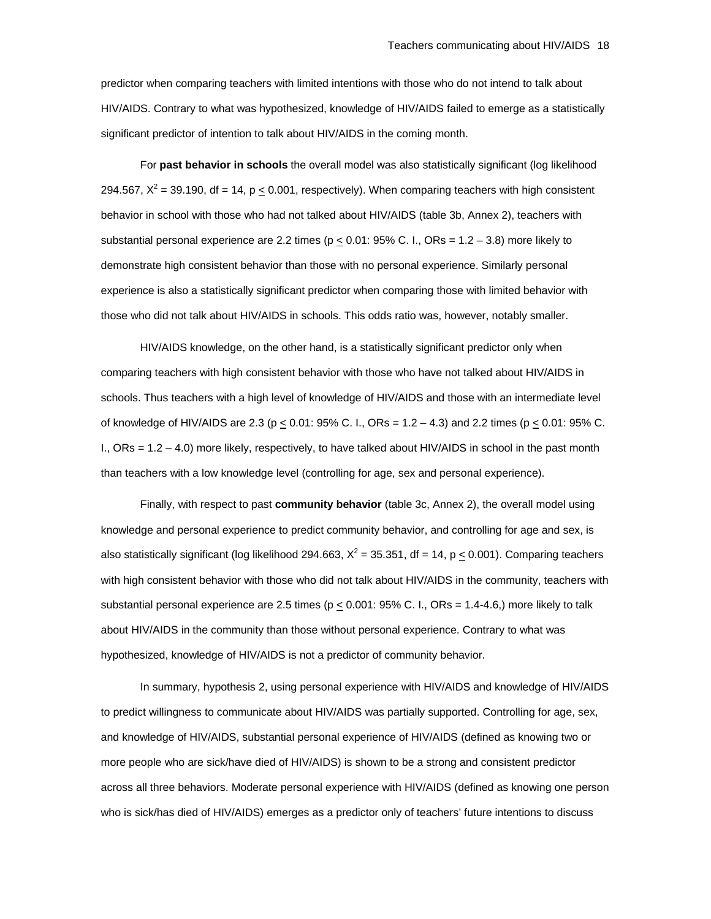predictor when comparing teachers with limited intentions with those who do not intend to talk about HIV/AIDS. Contrary to what was hypothesized, knowledge of HIV/AIDS failed to emerge as a statistically significant predictor of intention to talk about HIV/AIDS in the coming month.

For **past behavior in schools** the overall model was also statistically significant (log likelihood 294.567,  $X^2 = 39.190$ , df = 14, p  $\leq$  0.001, respectively). When comparing teachers with high consistent behavior in school with those who had not talked about HIV/AIDS (table 3b, Annex 2), teachers with substantial personal experience are 2.2 times ( $p \le 0.01$ : 95% C. I., ORs = 1.2 – 3.8) more likely to demonstrate high consistent behavior than those with no personal experience. Similarly personal experience is also a statistically significant predictor when comparing those with limited behavior with those who did not talk about HIV/AIDS in schools. This odds ratio was, however, notably smaller.

HIV/AIDS knowledge, on the other hand, is a statistically significant predictor only when comparing teachers with high consistent behavior with those who have not talked about HIV/AIDS in schools. Thus teachers with a high level of knowledge of HIV/AIDS and those with an intermediate level of knowledge of HIV/AIDS are 2.3 (p < 0.01: 95% C. I., ORs = 1.2 – 4.3) and 2.2 times (p < 0.01: 95% C. I., ORs = 1.2 – 4.0) more likely, respectively, to have talked about HIV/AIDS in school in the past month than teachers with a low knowledge level (controlling for age, sex and personal experience).

Finally, with respect to past **community behavior** (table 3c, Annex 2), the overall model using knowledge and personal experience to predict community behavior, and controlling for age and sex, is also statistically significant (log likelihood 294.663,  $X^2 = 35.351$ , df = 14, p  $\leq$  0.001). Comparing teachers with high consistent behavior with those who did not talk about HIV/AIDS in the community, teachers with substantial personal experience are 2.5 times ( $p \le 0.001$ : 95% C. I., ORs = 1.4-4.6,) more likely to talk about HIV/AIDS in the community than those without personal experience. Contrary to what was hypothesized, knowledge of HIV/AIDS is not a predictor of community behavior.

In summary, hypothesis 2, using personal experience with HIV/AIDS and knowledge of HIV/AIDS to predict willingness to communicate about HIV/AIDS was partially supported. Controlling for age, sex, and knowledge of HIV/AIDS, substantial personal experience of HIV/AIDS (defined as knowing two or more people who are sick/have died of HIV/AIDS) is shown to be a strong and consistent predictor across all three behaviors. Moderate personal experience with HIV/AIDS (defined as knowing one person who is sick/has died of HIV/AIDS) emerges as a predictor only of teachers' future intentions to discuss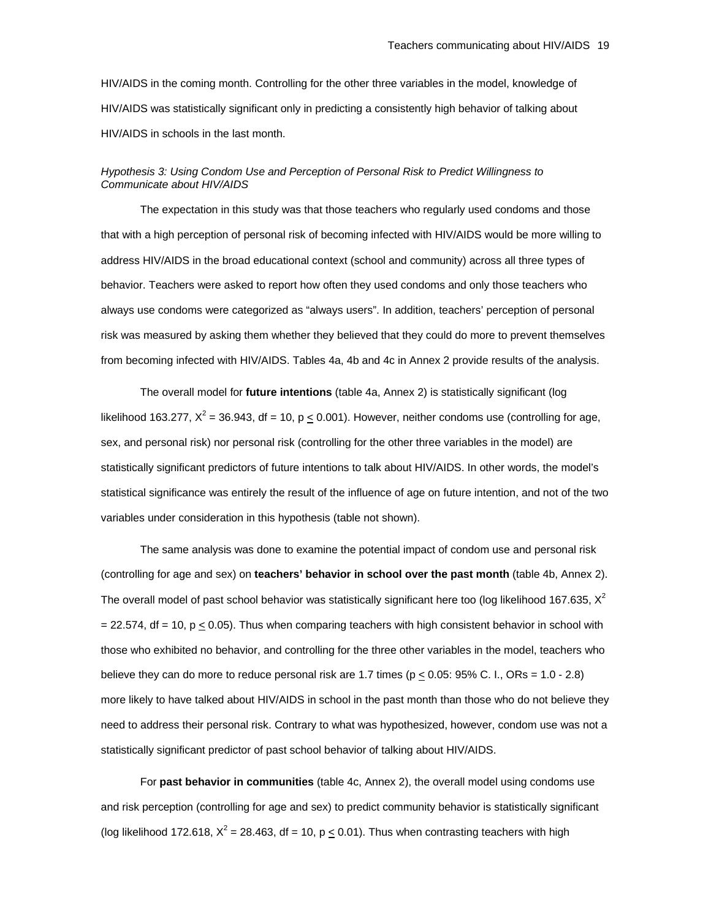HIV/AIDS in the coming month. Controlling for the other three variables in the model, knowledge of HIV/AIDS was statistically significant only in predicting a consistently high behavior of talking about HIV/AIDS in schools in the last month.

# *Hypothesis 3: Using Condom Use and Perception of Personal Risk to Predict Willingness to Communicate about HIV/AIDS*

The expectation in this study was that those teachers who regularly used condoms and those that with a high perception of personal risk of becoming infected with HIV/AIDS would be more willing to address HIV/AIDS in the broad educational context (school and community) across all three types of behavior. Teachers were asked to report how often they used condoms and only those teachers who always use condoms were categorized as "always users". In addition, teachers' perception of personal risk was measured by asking them whether they believed that they could do more to prevent themselves from becoming infected with HIV/AIDS. Tables 4a, 4b and 4c in Annex 2 provide results of the analysis.

The overall model for **future intentions** (table 4a, Annex 2) is statistically significant (log likelihood 163.277,  $X^2$  = 36.943, df = 10, p  $\leq$  0.001). However, neither condoms use (controlling for age, sex, and personal risk) nor personal risk (controlling for the other three variables in the model) are statistically significant predictors of future intentions to talk about HIV/AIDS. In other words, the model's statistical significance was entirely the result of the influence of age on future intention, and not of the two variables under consideration in this hypothesis (table not shown).

The same analysis was done to examine the potential impact of condom use and personal risk (controlling for age and sex) on **teachers' behavior in school over the past month** (table 4b, Annex 2). The overall model of past school behavior was statistically significant here too (log likelihood 167.635,  $X^2$  $= 22.574$ , df = 10, p  $\leq 0.05$ ). Thus when comparing teachers with high consistent behavior in school with those who exhibited no behavior, and controlling for the three other variables in the model, teachers who believe they can do more to reduce personal risk are 1.7 times ( $p \le 0.05$ : 95% C. I., ORs = 1.0 - 2.8) more likely to have talked about HIV/AIDS in school in the past month than those who do not believe they need to address their personal risk. Contrary to what was hypothesized, however, condom use was not a statistically significant predictor of past school behavior of talking about HIV/AIDS.

For **past behavior in communities** (table 4c, Annex 2), the overall model using condoms use and risk perception (controlling for age and sex) to predict community behavior is statistically significant (log likelihood 172.618,  $X^2 = 28.463$ , df = 10, p  $\leq$  0.01). Thus when contrasting teachers with high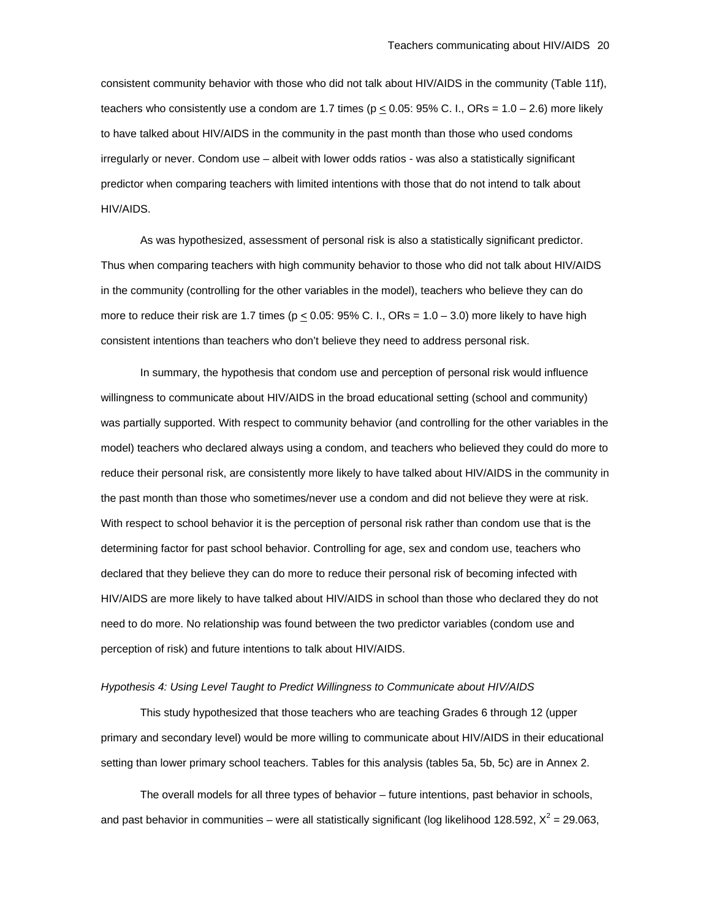consistent community behavior with those who did not talk about HIV/AIDS in the community (Table 11f), teachers who consistently use a condom are 1.7 times ( $p \le 0.05$ : 95% C. I., ORs = 1.0 – 2.6) more likely to have talked about HIV/AIDS in the community in the past month than those who used condoms irregularly or never. Condom use – albeit with lower odds ratios - was also a statistically significant predictor when comparing teachers with limited intentions with those that do not intend to talk about HIV/AIDS.

As was hypothesized, assessment of personal risk is also a statistically significant predictor. Thus when comparing teachers with high community behavior to those who did not talk about HIV/AIDS in the community (controlling for the other variables in the model), teachers who believe they can do more to reduce their risk are 1.7 times ( $p \le 0.05$ : 95% C. I., ORs = 1.0 – 3.0) more likely to have high consistent intentions than teachers who don't believe they need to address personal risk.

In summary, the hypothesis that condom use and perception of personal risk would influence willingness to communicate about HIV/AIDS in the broad educational setting (school and community) was partially supported. With respect to community behavior (and controlling for the other variables in the model) teachers who declared always using a condom, and teachers who believed they could do more to reduce their personal risk, are consistently more likely to have talked about HIV/AIDS in the community in the past month than those who sometimes/never use a condom and did not believe they were at risk. With respect to school behavior it is the perception of personal risk rather than condom use that is the determining factor for past school behavior. Controlling for age, sex and condom use, teachers who declared that they believe they can do more to reduce their personal risk of becoming infected with HIV/AIDS are more likely to have talked about HIV/AIDS in school than those who declared they do not need to do more. No relationship was found between the two predictor variables (condom use and perception of risk) and future intentions to talk about HIV/AIDS.

#### *Hypothesis 4: Using Level Taught to Predict Willingness to Communicate about HIV/AIDS*

This study hypothesized that those teachers who are teaching Grades 6 through 12 (upper primary and secondary level) would be more willing to communicate about HIV/AIDS in their educational setting than lower primary school teachers. Tables for this analysis (tables 5a, 5b, 5c) are in Annex 2.

The overall models for all three types of behavior – future intentions, past behavior in schools, and past behavior in communities – were all statistically significant (log likelihood 128.592,  $X^2$  = 29.063,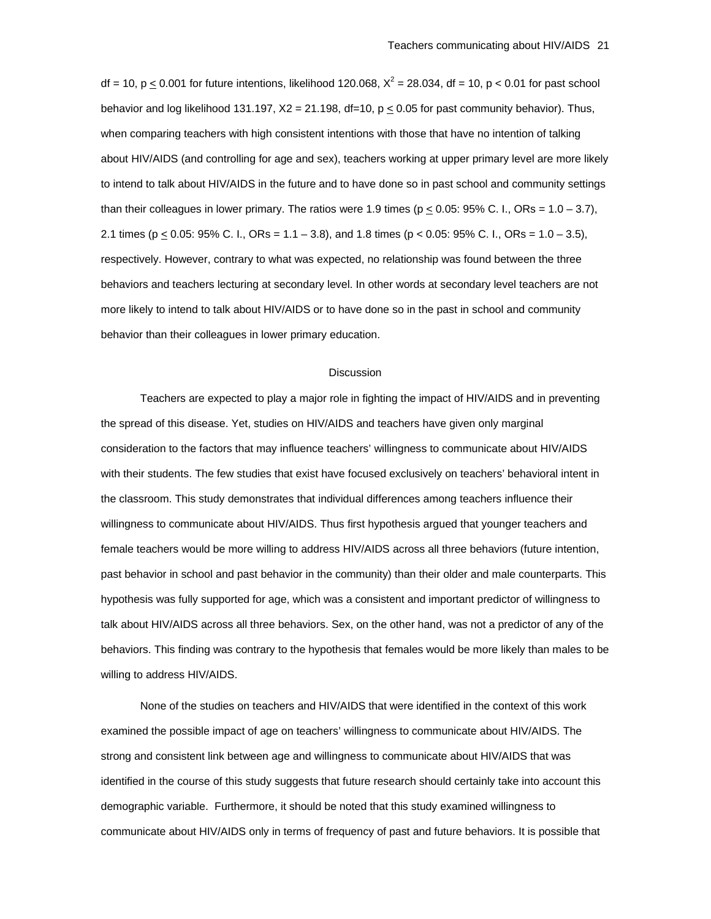df = 10, p  $\leq$  0.001 for future intentions, likelihood 120.068,  $X^2$  = 28.034, df = 10, p < 0.01 for past school behavior and log likelihood 131.197,  $X2 = 21.198$ , df=10,  $p \le 0.05$  for past community behavior). Thus, when comparing teachers with high consistent intentions with those that have no intention of talking about HIV/AIDS (and controlling for age and sex), teachers working at upper primary level are more likely to intend to talk about HIV/AIDS in the future and to have done so in past school and community settings than their colleagues in lower primary. The ratios were 1.9 times ( $p \le 0.05$ : 95% C. I., ORs = 1.0 – 3.7), 2.1 times ( $p \le 0.05$ : 95% C. I., ORs = 1.1 – 3.8), and 1.8 times ( $p < 0.05$ : 95% C. I., ORs = 1.0 – 3.5), respectively. However, contrary to what was expected, no relationship was found between the three behaviors and teachers lecturing at secondary level. In other words at secondary level teachers are not more likely to intend to talk about HIV/AIDS or to have done so in the past in school and community behavior than their colleagues in lower primary education.

#### **Discussion**

Teachers are expected to play a major role in fighting the impact of HIV/AIDS and in preventing the spread of this disease. Yet, studies on HIV/AIDS and teachers have given only marginal consideration to the factors that may influence teachers' willingness to communicate about HIV/AIDS with their students. The few studies that exist have focused exclusively on teachers' behavioral intent in the classroom. This study demonstrates that individual differences among teachers influence their willingness to communicate about HIV/AIDS. Thus first hypothesis argued that younger teachers and female teachers would be more willing to address HIV/AIDS across all three behaviors (future intention, past behavior in school and past behavior in the community) than their older and male counterparts. This hypothesis was fully supported for age, which was a consistent and important predictor of willingness to talk about HIV/AIDS across all three behaviors. Sex, on the other hand, was not a predictor of any of the behaviors. This finding was contrary to the hypothesis that females would be more likely than males to be willing to address HIV/AIDS.

None of the studies on teachers and HIV/AIDS that were identified in the context of this work examined the possible impact of age on teachers' willingness to communicate about HIV/AIDS. The strong and consistent link between age and willingness to communicate about HIV/AIDS that was identified in the course of this study suggests that future research should certainly take into account this demographic variable. Furthermore, it should be noted that this study examined willingness to communicate about HIV/AIDS only in terms of frequency of past and future behaviors. It is possible that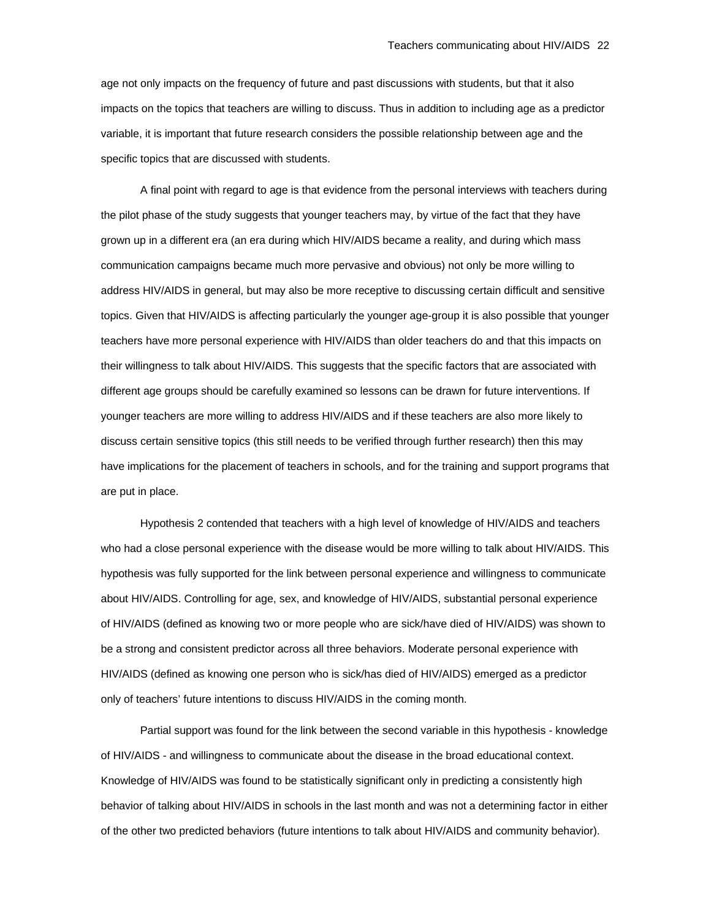age not only impacts on the frequency of future and past discussions with students, but that it also impacts on the topics that teachers are willing to discuss. Thus in addition to including age as a predictor variable, it is important that future research considers the possible relationship between age and the specific topics that are discussed with students.

A final point with regard to age is that evidence from the personal interviews with teachers during the pilot phase of the study suggests that younger teachers may, by virtue of the fact that they have grown up in a different era (an era during which HIV/AIDS became a reality, and during which mass communication campaigns became much more pervasive and obvious) not only be more willing to address HIV/AIDS in general, but may also be more receptive to discussing certain difficult and sensitive topics. Given that HIV/AIDS is affecting particularly the younger age-group it is also possible that younger teachers have more personal experience with HIV/AIDS than older teachers do and that this impacts on their willingness to talk about HIV/AIDS. This suggests that the specific factors that are associated with different age groups should be carefully examined so lessons can be drawn for future interventions. If younger teachers are more willing to address HIV/AIDS and if these teachers are also more likely to discuss certain sensitive topics (this still needs to be verified through further research) then this may have implications for the placement of teachers in schools, and for the training and support programs that are put in place.

Hypothesis 2 contended that teachers with a high level of knowledge of HIV/AIDS and teachers who had a close personal experience with the disease would be more willing to talk about HIV/AIDS. This hypothesis was fully supported for the link between personal experience and willingness to communicate about HIV/AIDS. Controlling for age, sex, and knowledge of HIV/AIDS, substantial personal experience of HIV/AIDS (defined as knowing two or more people who are sick/have died of HIV/AIDS) was shown to be a strong and consistent predictor across all three behaviors. Moderate personal experience with HIV/AIDS (defined as knowing one person who is sick/has died of HIV/AIDS) emerged as a predictor only of teachers' future intentions to discuss HIV/AIDS in the coming month.

Partial support was found for the link between the second variable in this hypothesis - knowledge of HIV/AIDS - and willingness to communicate about the disease in the broad educational context. Knowledge of HIV/AIDS was found to be statistically significant only in predicting a consistently high behavior of talking about HIV/AIDS in schools in the last month and was not a determining factor in either of the other two predicted behaviors (future intentions to talk about HIV/AIDS and community behavior).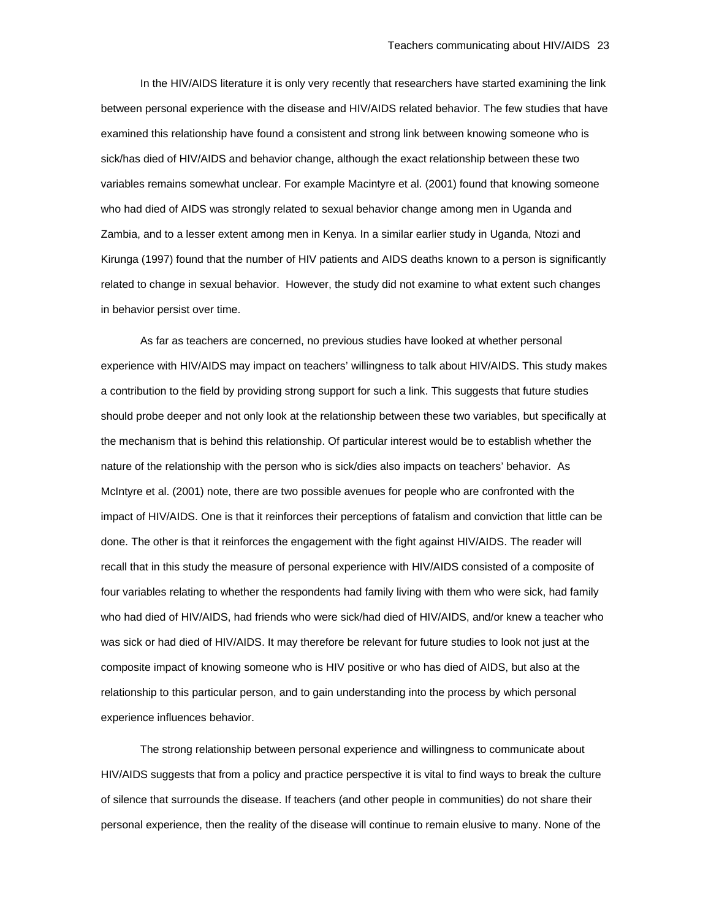In the HIV/AIDS literature it is only very recently that researchers have started examining the link between personal experience with the disease and HIV/AIDS related behavior. The few studies that have examined this relationship have found a consistent and strong link between knowing someone who is sick/has died of HIV/AIDS and behavior change, although the exact relationship between these two variables remains somewhat unclear. For example Macintyre et al. (2001) found that knowing someone who had died of AIDS was strongly related to sexual behavior change among men in Uganda and Zambia, and to a lesser extent among men in Kenya. In a similar earlier study in Uganda, Ntozi and Kirunga (1997) found that the number of HIV patients and AIDS deaths known to a person is significantly related to change in sexual behavior. However, the study did not examine to what extent such changes in behavior persist over time.

As far as teachers are concerned, no previous studies have looked at whether personal experience with HIV/AIDS may impact on teachers' willingness to talk about HIV/AIDS. This study makes a contribution to the field by providing strong support for such a link. This suggests that future studies should probe deeper and not only look at the relationship between these two variables, but specifically at the mechanism that is behind this relationship. Of particular interest would be to establish whether the nature of the relationship with the person who is sick/dies also impacts on teachers' behavior. As McIntyre et al. (2001) note, there are two possible avenues for people who are confronted with the impact of HIV/AIDS. One is that it reinforces their perceptions of fatalism and conviction that little can be done. The other is that it reinforces the engagement with the fight against HIV/AIDS. The reader will recall that in this study the measure of personal experience with HIV/AIDS consisted of a composite of four variables relating to whether the respondents had family living with them who were sick, had family who had died of HIV/AIDS, had friends who were sick/had died of HIV/AIDS, and/or knew a teacher who was sick or had died of HIV/AIDS. It may therefore be relevant for future studies to look not just at the composite impact of knowing someone who is HIV positive or who has died of AIDS, but also at the relationship to this particular person, and to gain understanding into the process by which personal experience influences behavior.

The strong relationship between personal experience and willingness to communicate about HIV/AIDS suggests that from a policy and practice perspective it is vital to find ways to break the culture of silence that surrounds the disease. If teachers (and other people in communities) do not share their personal experience, then the reality of the disease will continue to remain elusive to many. None of the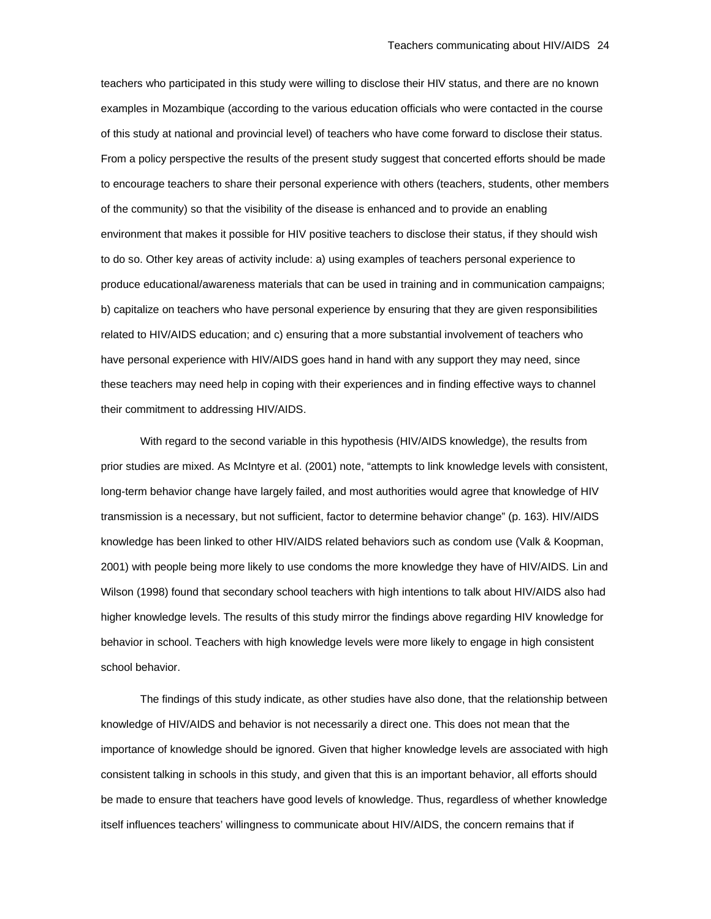teachers who participated in this study were willing to disclose their HIV status, and there are no known examples in Mozambique (according to the various education officials who were contacted in the course of this study at national and provincial level) of teachers who have come forward to disclose their status. From a policy perspective the results of the present study suggest that concerted efforts should be made to encourage teachers to share their personal experience with others (teachers, students, other members of the community) so that the visibility of the disease is enhanced and to provide an enabling environment that makes it possible for HIV positive teachers to disclose their status, if they should wish to do so. Other key areas of activity include: a) using examples of teachers personal experience to produce educational/awareness materials that can be used in training and in communication campaigns; b) capitalize on teachers who have personal experience by ensuring that they are given responsibilities related to HIV/AIDS education; and c) ensuring that a more substantial involvement of teachers who have personal experience with HIV/AIDS goes hand in hand with any support they may need, since these teachers may need help in coping with their experiences and in finding effective ways to channel their commitment to addressing HIV/AIDS.

With regard to the second variable in this hypothesis (HIV/AIDS knowledge), the results from prior studies are mixed. As McIntyre et al. (2001) note, "attempts to link knowledge levels with consistent, long-term behavior change have largely failed, and most authorities would agree that knowledge of HIV transmission is a necessary, but not sufficient, factor to determine behavior change" (p. 163). HIV/AIDS knowledge has been linked to other HIV/AIDS related behaviors such as condom use (Valk & Koopman, 2001) with people being more likely to use condoms the more knowledge they have of HIV/AIDS. Lin and Wilson (1998) found that secondary school teachers with high intentions to talk about HIV/AIDS also had higher knowledge levels. The results of this study mirror the findings above regarding HIV knowledge for behavior in school. Teachers with high knowledge levels were more likely to engage in high consistent school behavior.

The findings of this study indicate, as other studies have also done, that the relationship between knowledge of HIV/AIDS and behavior is not necessarily a direct one. This does not mean that the importance of knowledge should be ignored. Given that higher knowledge levels are associated with high consistent talking in schools in this study, and given that this is an important behavior, all efforts should be made to ensure that teachers have good levels of knowledge. Thus, regardless of whether knowledge itself influences teachers' willingness to communicate about HIV/AIDS, the concern remains that if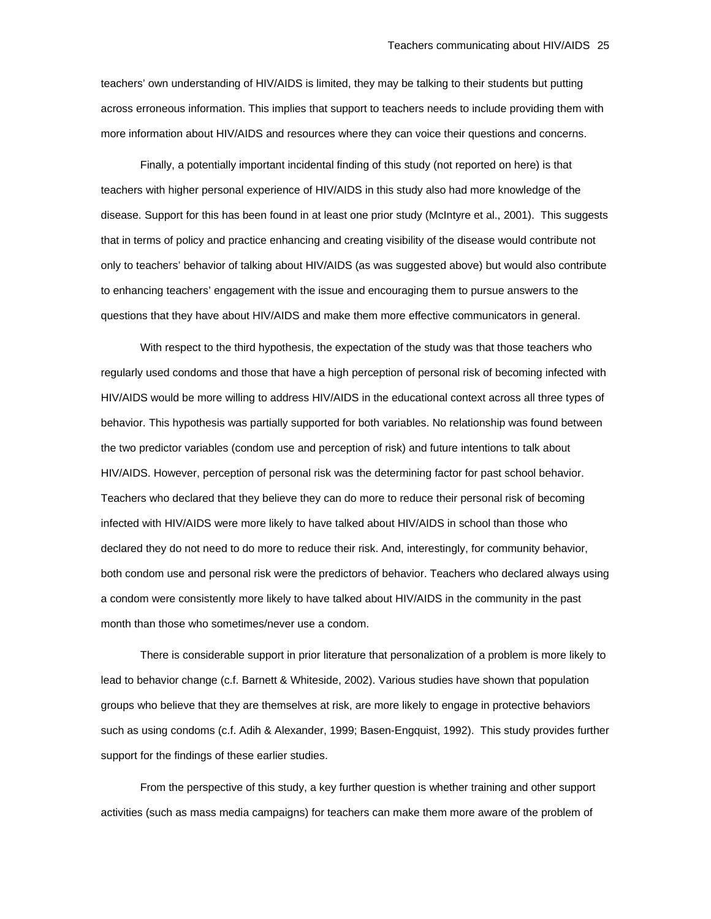teachers' own understanding of HIV/AIDS is limited, they may be talking to their students but putting across erroneous information. This implies that support to teachers needs to include providing them with more information about HIV/AIDS and resources where they can voice their questions and concerns.

Finally, a potentially important incidental finding of this study (not reported on here) is that teachers with higher personal experience of HIV/AIDS in this study also had more knowledge of the disease. Support for this has been found in at least one prior study (McIntyre et al., 2001). This suggests that in terms of policy and practice enhancing and creating visibility of the disease would contribute not only to teachers' behavior of talking about HIV/AIDS (as was suggested above) but would also contribute to enhancing teachers' engagement with the issue and encouraging them to pursue answers to the questions that they have about HIV/AIDS and make them more effective communicators in general.

With respect to the third hypothesis, the expectation of the study was that those teachers who regularly used condoms and those that have a high perception of personal risk of becoming infected with HIV/AIDS would be more willing to address HIV/AIDS in the educational context across all three types of behavior. This hypothesis was partially supported for both variables. No relationship was found between the two predictor variables (condom use and perception of risk) and future intentions to talk about HIV/AIDS. However, perception of personal risk was the determining factor for past school behavior. Teachers who declared that they believe they can do more to reduce their personal risk of becoming infected with HIV/AIDS were more likely to have talked about HIV/AIDS in school than those who declared they do not need to do more to reduce their risk. And, interestingly, for community behavior, both condom use and personal risk were the predictors of behavior. Teachers who declared always using a condom were consistently more likely to have talked about HIV/AIDS in the community in the past month than those who sometimes/never use a condom.

There is considerable support in prior literature that personalization of a problem is more likely to lead to behavior change (c.f. Barnett & Whiteside, 2002). Various studies have shown that population groups who believe that they are themselves at risk, are more likely to engage in protective behaviors such as using condoms (c.f. Adih & Alexander, 1999; Basen-Engquist, 1992). This study provides further support for the findings of these earlier studies.

From the perspective of this study, a key further question is whether training and other support activities (such as mass media campaigns) for teachers can make them more aware of the problem of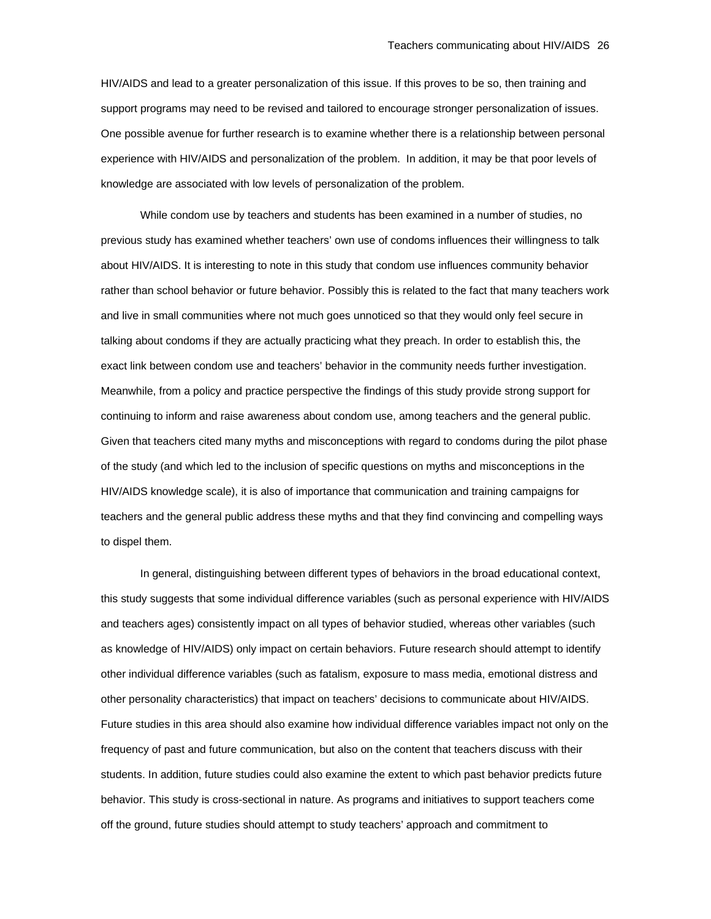HIV/AIDS and lead to a greater personalization of this issue. If this proves to be so, then training and support programs may need to be revised and tailored to encourage stronger personalization of issues. One possible avenue for further research is to examine whether there is a relationship between personal experience with HIV/AIDS and personalization of the problem. In addition, it may be that poor levels of knowledge are associated with low levels of personalization of the problem.

While condom use by teachers and students has been examined in a number of studies, no previous study has examined whether teachers' own use of condoms influences their willingness to talk about HIV/AIDS. It is interesting to note in this study that condom use influences community behavior rather than school behavior or future behavior. Possibly this is related to the fact that many teachers work and live in small communities where not much goes unnoticed so that they would only feel secure in talking about condoms if they are actually practicing what they preach. In order to establish this, the exact link between condom use and teachers' behavior in the community needs further investigation. Meanwhile, from a policy and practice perspective the findings of this study provide strong support for continuing to inform and raise awareness about condom use, among teachers and the general public. Given that teachers cited many myths and misconceptions with regard to condoms during the pilot phase of the study (and which led to the inclusion of specific questions on myths and misconceptions in the HIV/AIDS knowledge scale), it is also of importance that communication and training campaigns for teachers and the general public address these myths and that they find convincing and compelling ways to dispel them.

In general, distinguishing between different types of behaviors in the broad educational context, this study suggests that some individual difference variables (such as personal experience with HIV/AIDS and teachers ages) consistently impact on all types of behavior studied, whereas other variables (such as knowledge of HIV/AIDS) only impact on certain behaviors. Future research should attempt to identify other individual difference variables (such as fatalism, exposure to mass media, emotional distress and other personality characteristics) that impact on teachers' decisions to communicate about HIV/AIDS. Future studies in this area should also examine how individual difference variables impact not only on the frequency of past and future communication, but also on the content that teachers discuss with their students. In addition, future studies could also examine the extent to which past behavior predicts future behavior. This study is cross-sectional in nature. As programs and initiatives to support teachers come off the ground, future studies should attempt to study teachers' approach and commitment to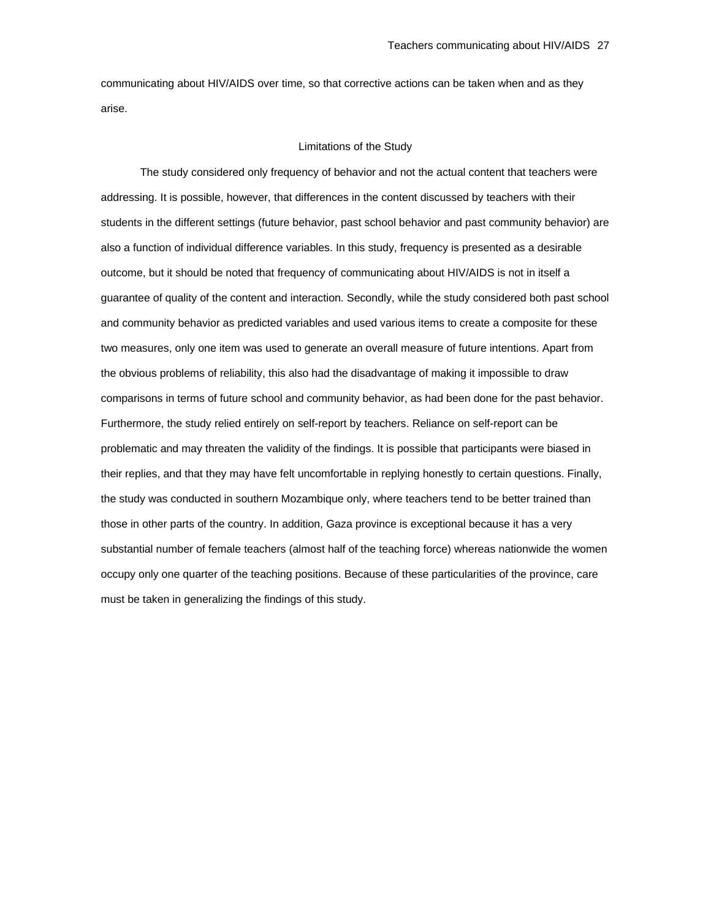communicating about HIV/AIDS over time, so that corrective actions can be taken when and as they arise.

#### Limitations of the Study

The study considered only frequency of behavior and not the actual content that teachers were addressing. It is possible, however, that differences in the content discussed by teachers with their students in the different settings (future behavior, past school behavior and past community behavior) are also a function of individual difference variables. In this study, frequency is presented as a desirable outcome, but it should be noted that frequency of communicating about HIV/AIDS is not in itself a guarantee of quality of the content and interaction. Secondly, while the study considered both past school and community behavior as predicted variables and used various items to create a composite for these two measures, only one item was used to generate an overall measure of future intentions. Apart from the obvious problems of reliability, this also had the disadvantage of making it impossible to draw comparisons in terms of future school and community behavior, as had been done for the past behavior. Furthermore, the study relied entirely on self-report by teachers. Reliance on self-report can be problematic and may threaten the validity of the findings. It is possible that participants were biased in their replies, and that they may have felt uncomfortable in replying honestly to certain questions. Finally, the study was conducted in southern Mozambique only, where teachers tend to be better trained than those in other parts of the country. In addition, Gaza province is exceptional because it has a very substantial number of female teachers (almost half of the teaching force) whereas nationwide the women occupy only one quarter of the teaching positions. Because of these particularities of the province, care must be taken in generalizing the findings of this study.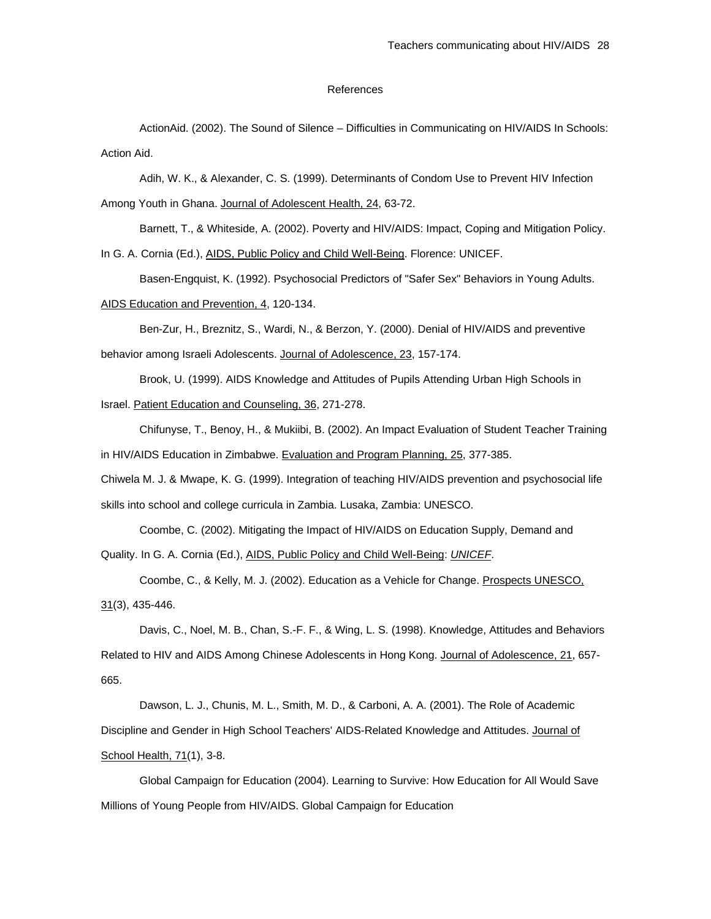# References

ActionAid. (2002). The Sound of Silence – Difficulties in Communicating on HIV/AIDS In Schools: Action Aid.

 Adih, W. K., & Alexander, C. S. (1999). Determinants of Condom Use to Prevent HIV Infection Among Youth in Ghana. Journal of Adolescent Health, 24, 63-72.

 Barnett, T., & Whiteside, A. (2002). Poverty and HIV/AIDS: Impact, Coping and Mitigation Policy. In G. A. Cornia (Ed.), AIDS, Public Policy and Child Well-Being. Florence: UNICEF.

Basen-Engquist, K. (1992). Psychosocial Predictors of "Safer Sex" Behaviors in Young Adults.

AIDS Education and Prevention, 4, 120-134.

 Ben-Zur, H., Breznitz, S., Wardi, N., & Berzon, Y. (2000). Denial of HIV/AIDS and preventive behavior among Israeli Adolescents. Journal of Adolescence, 23, 157-174.

 Brook, U. (1999). AIDS Knowledge and Attitudes of Pupils Attending Urban High Schools in Israel. Patient Education and Counseling, 36, 271-278.

 Chifunyse, T., Benoy, H., & Mukiibi, B. (2002). An Impact Evaluation of Student Teacher Training in HIV/AIDS Education in Zimbabwe. Evaluation and Program Planning, 25, 377-385.

Chiwela M. J. & Mwape, K. G. (1999). Integration of teaching HIV/AIDS prevention and psychosocial life skills into school and college curricula in Zambia. Lusaka, Zambia: UNESCO.

 Coombe, C. (2002). Mitigating the Impact of HIV/AIDS on Education Supply, Demand and Quality. In G. A. Cornia (Ed.), AIDS, Public Policy and Child Well-Being: *UNICEF*.

 Coombe, C., & Kelly, M. J. (2002). Education as a Vehicle for Change. Prospects UNESCO, 31(3), 435-446.

 Davis, C., Noel, M. B., Chan, S.-F. F., & Wing, L. S. (1998). Knowledge, Attitudes and Behaviors Related to HIV and AIDS Among Chinese Adolescents in Hong Kong. Journal of Adolescence, 21, 657- 665.

 Dawson, L. J., Chunis, M. L., Smith, M. D., & Carboni, A. A. (2001). The Role of Academic Discipline and Gender in High School Teachers' AIDS-Related Knowledge and Attitudes. Journal of School Health, 71(1), 3-8.

 Global Campaign for Education (2004). Learning to Survive: How Education for All Would Save Millions of Young People from HIV/AIDS. Global Campaign for Education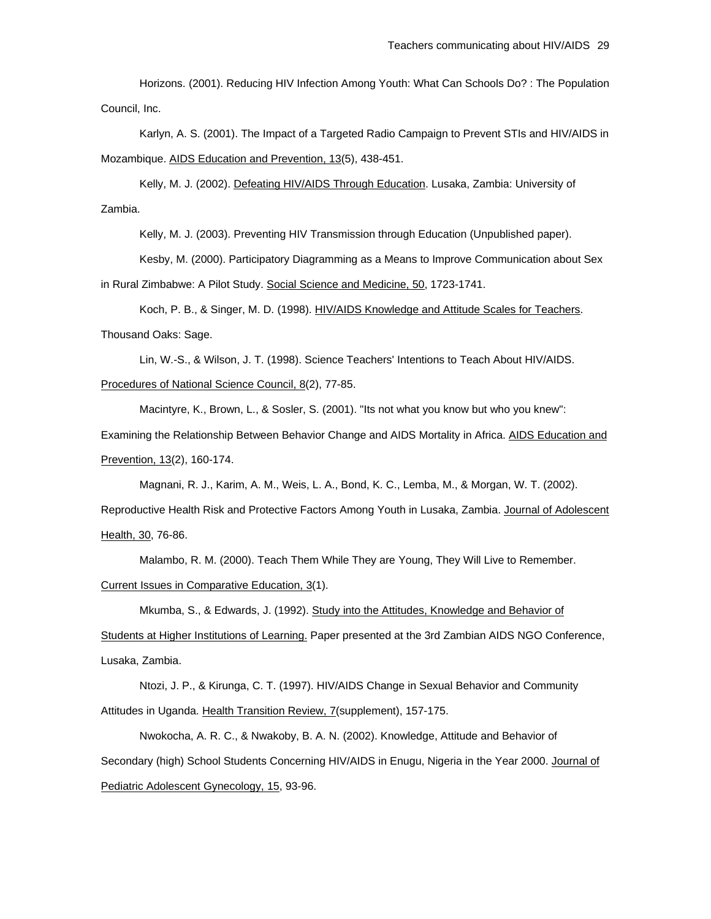Horizons. (2001). Reducing HIV Infection Among Youth: What Can Schools Do? : The Population Council, Inc.

 Karlyn, A. S. (2001). The Impact of a Targeted Radio Campaign to Prevent STIs and HIV/AIDS in Mozambique. AIDS Education and Prevention, 13(5), 438-451.

Kelly, M. J. (2002). Defeating HIV/AIDS Through Education. Lusaka, Zambia: University of Zambia.

Kelly, M. J. (2003). Preventing HIV Transmission through Education (Unpublished paper).

 Kesby, M. (2000). Participatory Diagramming as a Means to Improve Communication about Sex in Rural Zimbabwe: A Pilot Study. Social Science and Medicine, 50, 1723-1741.

 Koch, P. B., & Singer, M. D. (1998). HIV/AIDS Knowledge and Attitude Scales for Teachers. Thousand Oaks: Sage.

 Lin, W.-S., & Wilson, J. T. (1998). Science Teachers' Intentions to Teach About HIV/AIDS. Procedures of National Science Council, 8(2), 77-85.

Macintyre, K., Brown, L., & Sosler, S. (2001). "Its not what you know but who you knew":

Examining the Relationship Between Behavior Change and AIDS Mortality in Africa. AIDS Education and Prevention, 13(2), 160-174.

Magnani, R. J., Karim, A. M., Weis, L. A., Bond, K. C., Lemba, M., & Morgan, W. T. (2002).

Reproductive Health Risk and Protective Factors Among Youth in Lusaka, Zambia. Journal of Adolescent Health, 30, 76-86.

 Malambo, R. M. (2000). Teach Them While They are Young, They Will Live to Remember. Current Issues in Comparative Education, 3(1).

 Mkumba, S., & Edwards, J. (1992). Study into the Attitudes, Knowledge and Behavior of Students at Higher Institutions of Learning. Paper presented at the 3rd Zambian AIDS NGO Conference, Lusaka, Zambia.

 Ntozi, J. P., & Kirunga, C. T. (1997). HIV/AIDS Change in Sexual Behavior and Community Attitudes in Uganda. Health Transition Review, 7(supplement), 157-175.

 Nwokocha, A. R. C., & Nwakoby, B. A. N. (2002). Knowledge, Attitude and Behavior of Secondary (high) School Students Concerning HIV/AIDS in Enugu, Nigeria in the Year 2000. Journal of Pediatric Adolescent Gynecology, 15, 93-96.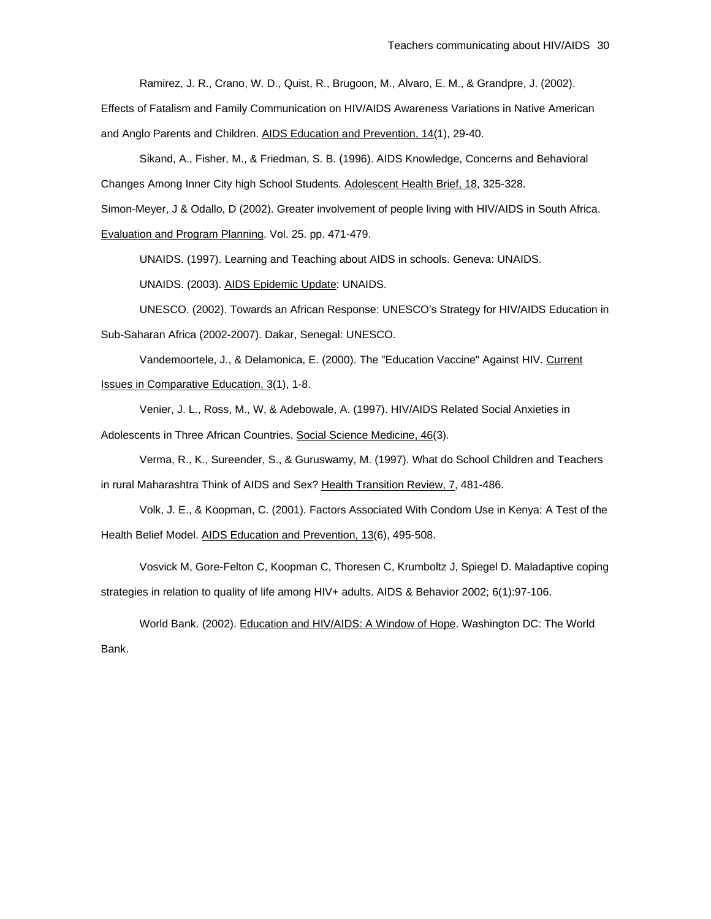Ramirez, J. R., Crano, W. D., Quist, R., Brugoon, M., Alvaro, E. M., & Grandpre, J. (2002).

Effects of Fatalism and Family Communication on HIV/AIDS Awareness Variations in Native American

and Anglo Parents and Children. AIDS Education and Prevention, 14(1), 29-40.

 Sikand, A., Fisher, M., & Friedman, S. B. (1996). AIDS Knowledge, Concerns and Behavioral Changes Among Inner City high School Students. Adolescent Health Brief, 18, 325-328.

Simon-Meyer, J & Odallo, D (2002). Greater involvement of people living with HIV/AIDS in South Africa.

Evaluation and Program Planning. Vol. 25. pp. 471-479.

UNAIDS. (1997). Learning and Teaching about AIDS in schools. Geneva: UNAIDS.

UNAIDS. (2003). AIDS Epidemic Update: UNAIDS.

 UNESCO. (2002). Towards an African Response: UNESCO's Strategy for HIV/AIDS Education in Sub-Saharan Africa (2002-2007). Dakar, Senegal: UNESCO.

 Vandemoortele, J., & Delamonica, E. (2000). The "Education Vaccine" Against HIV. Current Issues in Comparative Education, 3(1), 1-8.

 Venier, J. L., Ross, M., W, & Adebowale, A. (1997). HIV/AIDS Related Social Anxieties in Adolescents in Three African Countries. Social Science Medicine, 46(3).

Verma, R., K., Sureender, S., & Guruswamy, M. (1997). What do School Children and Teachers

in rural Maharashtra Think of AIDS and Sex? Health Transition Review, 7, 481-486.

 Volk, J. E., & Koopman, C. (2001). Factors Associated With Condom Use in Kenya: A Test of the Health Belief Model. AIDS Education and Prevention, 13(6), 495-508.

 Vosvick M, Gore-Felton C, Koopman C, Thoresen C, Krumboltz J, Spiegel D. Maladaptive coping strategies in relation to quality of life among HIV+ adults. AIDS & Behavior 2002; 6(1):97-106.

 World Bank. (2002). Education and HIV/AIDS: A Window of Hope. Washington DC: The World Bank.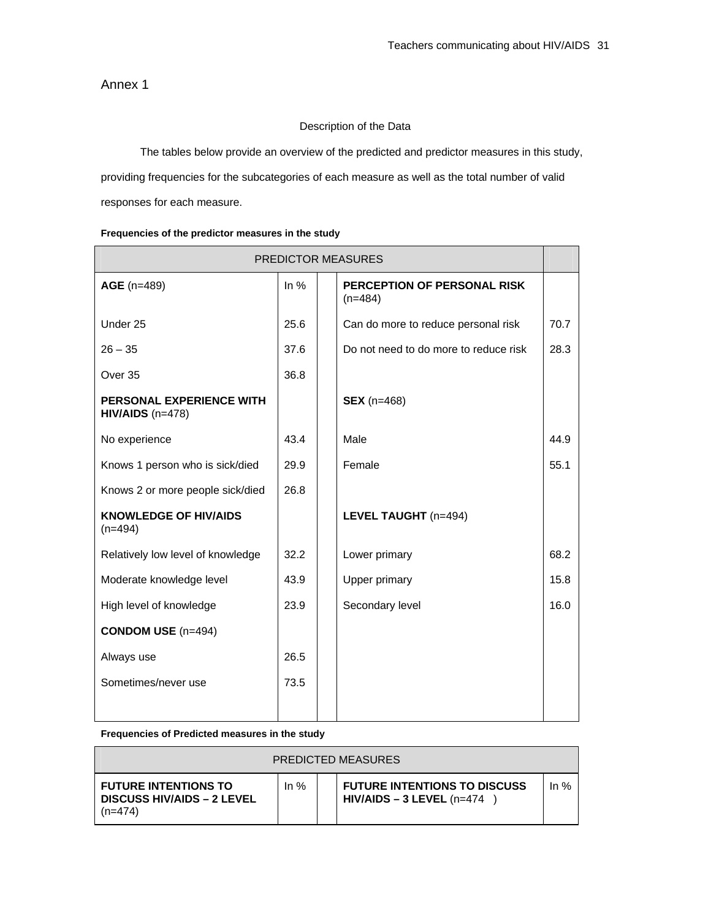Annex 1

# Description of the Data

The tables below provide an overview of the predicted and predictor measures in this study,

providing frequencies for the subcategories of each measure as well as the total number of valid

responses for each measure.

|  |  | Frequencies of the predictor measures in the study |  |
|--|--|----------------------------------------------------|--|
|  |  |                                                    |  |

| PREDICTOR MEASURES                             |        |  |                                          |      |  |  |
|------------------------------------------------|--------|--|------------------------------------------|------|--|--|
| AGE (n=489)                                    | In $%$ |  | PERCEPTION OF PERSONAL RISK<br>$(n=484)$ |      |  |  |
| Under 25                                       | 25.6   |  | Can do more to reduce personal risk      | 70.7 |  |  |
| $26 - 35$                                      | 37.6   |  | Do not need to do more to reduce risk    | 28.3 |  |  |
| Over 35                                        | 36.8   |  |                                          |      |  |  |
| PERSONAL EXPERIENCE WITH<br>$HIV/AIDS$ (n=478) |        |  | <b>SEX</b> (n=468)                       |      |  |  |
| No experience                                  | 43.4   |  | Male                                     | 44.9 |  |  |
| Knows 1 person who is sick/died                | 29.9   |  | Female                                   | 55.1 |  |  |
| Knows 2 or more people sick/died               | 26.8   |  |                                          |      |  |  |
| <b>KNOWLEDGE OF HIV/AIDS</b><br>$(n=494)$      |        |  | LEVEL TAUGHT (n=494)                     |      |  |  |
| Relatively low level of knowledge              | 32.2   |  | Lower primary                            | 68.2 |  |  |
| Moderate knowledge level                       | 43.9   |  | <b>Upper primary</b>                     | 15.8 |  |  |
| High level of knowledge                        | 23.9   |  | Secondary level                          | 16.0 |  |  |
| <b>CONDOM USE</b> (n=494)                      |        |  |                                          |      |  |  |
| Always use                                     | 26.5   |  |                                          |      |  |  |
| Sometimes/never use                            | 73.5   |  |                                          |      |  |  |
|                                                |        |  |                                          |      |  |  |

**Frequencies of Predicted measures in the study** 

| <b>PREDICTED MEASURES</b>                                                   |        |  |                                                                    |        |  |  |  |  |
|-----------------------------------------------------------------------------|--------|--|--------------------------------------------------------------------|--------|--|--|--|--|
| <b>FUTURE INTENTIONS TO</b><br><b>DISCUSS HIV/AIDS - 2 LEVEL</b><br>(n=474) | In $%$ |  | <b>FUTURE INTENTIONS TO DISCUSS</b><br>$HIV/AIDS - 3$ LEVEL (n=474 | In $%$ |  |  |  |  |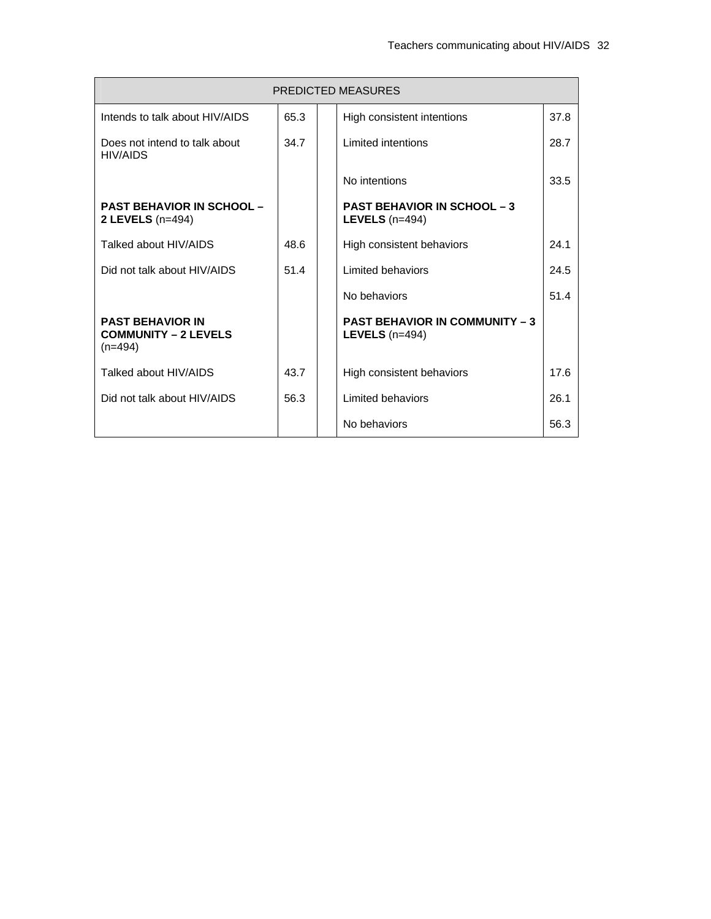|                                                                     | <b>PREDICTED MEASURES</b> |  |                                                           |      |  |  |  |  |
|---------------------------------------------------------------------|---------------------------|--|-----------------------------------------------------------|------|--|--|--|--|
| Intends to talk about HIV/AIDS                                      | 65.3                      |  | High consistent intentions                                | 37.8 |  |  |  |  |
| Does not intend to talk about<br><b>HIV/AIDS</b>                    | 34.7                      |  | Limited intentions                                        | 28.7 |  |  |  |  |
|                                                                     |                           |  | No intentions                                             | 33.5 |  |  |  |  |
| <b>PAST BEHAVIOR IN SCHOOL -</b><br>2 LEVELS $(n=494)$              |                           |  | <b>PAST BEHAVIOR IN SCHOOL - 3</b><br>LEVELS $(n=494)$    |      |  |  |  |  |
| Talked about HIV/AIDS                                               | 48.6                      |  | High consistent behaviors                                 | 24.1 |  |  |  |  |
| Did not talk about HIV/AIDS                                         | 51.4                      |  | Limited behaviors                                         | 24.5 |  |  |  |  |
|                                                                     |                           |  | No behaviors                                              | 51.4 |  |  |  |  |
| <b>PAST BEHAVIOR IN</b><br><b>COMMUNITY - 2 LEVELS</b><br>$(n=494)$ |                           |  | <b>PAST BEHAVIOR IN COMMUNITY - 3</b><br>LEVELS $(n=494)$ |      |  |  |  |  |
| Talked about HIV/AIDS                                               | 43.7                      |  | High consistent behaviors                                 | 17.6 |  |  |  |  |
| Did not talk about HIV/AIDS                                         | 56.3                      |  | Limited behaviors                                         | 26.1 |  |  |  |  |
|                                                                     |                           |  | No behaviors                                              | 56.3 |  |  |  |  |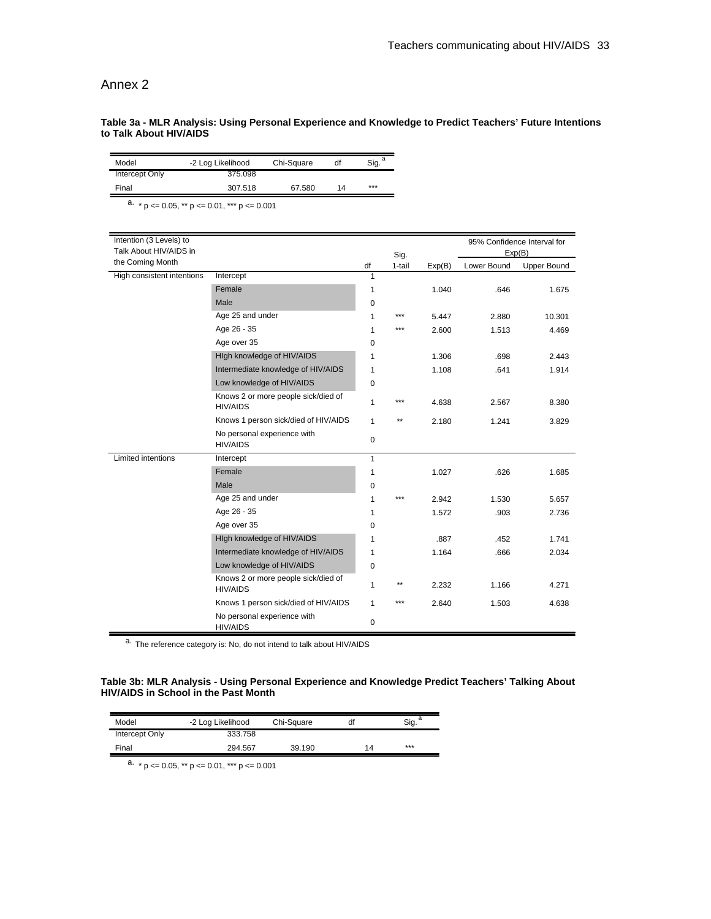# Annex 2

# **Table 3a - MLR Analysis: Using Personal Experience and Knowledge to Predict Teachers' Future Intentions to Talk About HIV/AIDS**

| Model                                                   | df<br>-2 Log Likelihood<br>Chi-Square                  | a<br>Sig.    |              |        |             |                                       |
|---------------------------------------------------------|--------------------------------------------------------|--------------|--------------|--------|-------------|---------------------------------------|
| Intercept Only                                          | 375.098                                                |              |              |        |             |                                       |
| Final                                                   | 307.518<br>67.580<br>14                                | ***          |              |        |             |                                       |
| a. * $p \le 0.05$ , ** $p \le 0.01$ , *** $p \le 0.001$ |                                                        |              |              |        |             |                                       |
|                                                         |                                                        |              |              |        |             |                                       |
| Intention (3 Levels) to<br>Talk About HIV/AIDS in       |                                                        |              | Sig.         |        |             | 95% Confidence Interval for<br>Exp(B) |
| the Coming Month                                        |                                                        | df           | 1-tail       | Exp(B) | Lower Bound | Upper Bound                           |
| High consistent intentions                              | Intercept                                              | 1            |              |        |             |                                       |
|                                                         | Female                                                 | 1            |              | 1.040  | .646        | 1.675                                 |
|                                                         | Male                                                   | 0            |              |        |             |                                       |
|                                                         | Age 25 and under                                       | 1            | $***$        | 5.447  | 2.880       | 10.301                                |
|                                                         | Age 26 - 35                                            | 1            | ***          | 2.600  | 1.513       | 4.469                                 |
|                                                         | Age over 35                                            | 0            |              |        |             |                                       |
|                                                         | High knowledge of HIV/AIDS                             | 1            |              | 1.306  | .698        | 2.443                                 |
|                                                         | Intermediate knowledge of HIV/AIDS                     | 1            |              | 1.108  | .641        | 1.914                                 |
|                                                         | Low knowledge of HIV/AIDS                              | $\mathbf 0$  |              |        |             |                                       |
|                                                         | Knows 2 or more people sick/died of<br><b>HIV/AIDS</b> | 1            | ***          | 4.638  | 2.567       | 8.380                                 |
|                                                         | Knows 1 person sick/died of HIV/AIDS                   | $\mathbf{1}$ | $**$         | 2.180  | 1.241       | 3.829                                 |
|                                                         | No personal experience with<br><b>HIV/AIDS</b>         | 0            |              |        |             |                                       |
| <b>Limited intentions</b>                               | Intercept                                              | $\mathbf{1}$ |              |        |             |                                       |
|                                                         | Female                                                 | 1            |              | 1.027  | .626        | 1.685                                 |
|                                                         | Male                                                   | 0            |              |        |             |                                       |
|                                                         | Age 25 and under                                       | 1            | ***          | 2.942  | 1.530       | 5.657                                 |
|                                                         | Age 26 - 35                                            | 1            |              | 1.572  | .903        | 2.736                                 |
|                                                         | Age over 35                                            | 0            |              |        |             |                                       |
|                                                         | High knowledge of HIV/AIDS                             | 1            |              | .887   | .452        | 1.741                                 |
|                                                         | Intermediate knowledge of HIV/AIDS                     | 1            |              | 1.164  | .666        | 2.034                                 |
|                                                         | Low knowledge of HIV/AIDS                              | 0            |              |        |             |                                       |
|                                                         | Knows 2 or more people sick/died of<br><b>HIV/AIDS</b> | 1            | $\star\star$ | 2.232  | 1.166       | 4.271                                 |
|                                                         | Knows 1 person sick/died of HIV/AIDS                   | $\mathbf{1}$ | ***          | 2.640  | 1.503       | 4.638                                 |
|                                                         | No personal experience with<br><b>HIV/AIDS</b>         | $\mathbf 0$  |              |        |             |                                       |

a. The reference category is: No, do not intend to talk about HIV/AIDS

### **Table 3b: MLR Analysis - Using Personal Experience and Knowledge Predict Teachers' Talking About HIV/AIDS in School in the Past Month**

| Model          | -2 Log Likelihood | Chi-Square | df |     |
|----------------|-------------------|------------|----|-----|
| Intercept Only | 333.758           |            |    |     |
| Final          | 294.567           | 39.190     | 14 | *** |

a.  $*$  p <= 0.05,  $**$  p <= 0.01,  $***$  p <= 0.001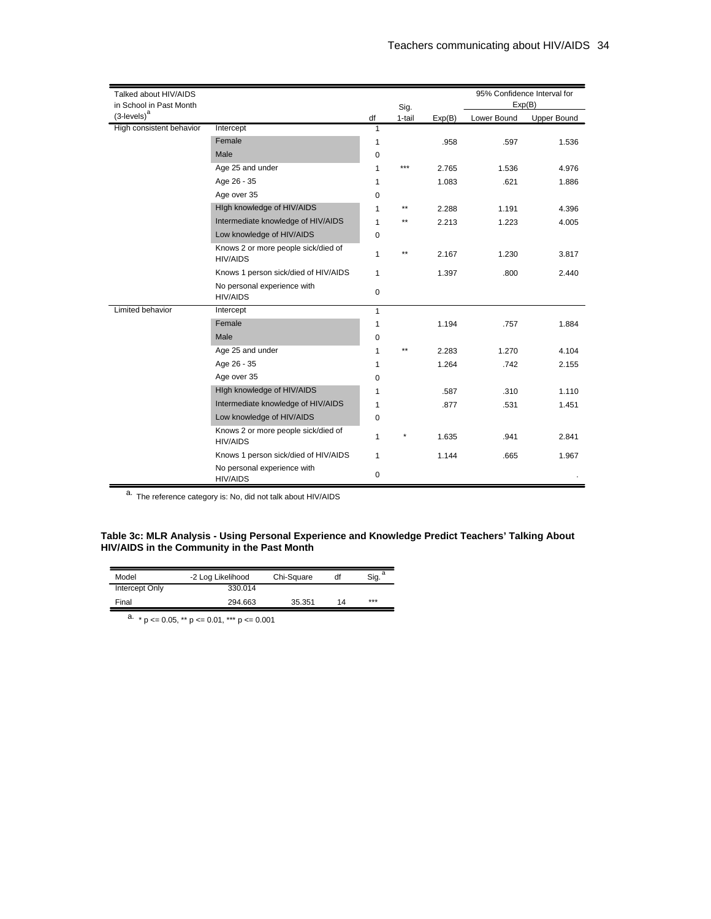| Talked about HIV/AIDS<br>in School in Past Month |                                                        |              | Sig.   |        | Exp(B)      | 95% Confidence Interval for |
|--------------------------------------------------|--------------------------------------------------------|--------------|--------|--------|-------------|-----------------------------|
| $(3$ -levels $)^a$                               |                                                        | df           | 1-tail | Exp(B) | Lower Bound | <b>Upper Bound</b>          |
| High consistent behavior                         | Intercept                                              | 1            |        |        |             |                             |
|                                                  | Female                                                 | 1            |        | .958   | .597        | 1.536                       |
|                                                  | Male                                                   | 0            |        |        |             |                             |
|                                                  | Age 25 and under                                       | 1            | ***    | 2.765  | 1.536       | 4.976                       |
|                                                  | Age 26 - 35                                            | 1            |        | 1.083  | .621        | 1.886                       |
|                                                  | Age over 35                                            | 0            |        |        |             |                             |
|                                                  | High knowledge of HIV/AIDS                             | 1            | **     | 2.288  | 1.191       | 4.396                       |
|                                                  | Intermediate knowledge of HIV/AIDS                     | 1            | $***$  | 2.213  | 1.223       | 4.005                       |
|                                                  | Low knowledge of HIV/AIDS                              | 0            |        |        |             |                             |
|                                                  | Knows 2 or more people sick/died of<br><b>HIV/AIDS</b> | $\mathbf{1}$ | **     | 2.167  | 1.230       | 3.817                       |
|                                                  | Knows 1 person sick/died of HIV/AIDS                   | $\mathbf{1}$ |        | 1.397  | .800        | 2.440                       |
|                                                  | No personal experience with<br><b>HIV/AIDS</b>         | 0            |        |        |             |                             |
| Limited behavior                                 | Intercept                                              | $\mathbf{1}$ |        |        |             |                             |
|                                                  | Female                                                 | 1            |        | 1.194  | .757        | 1.884                       |
|                                                  | Male                                                   | 0            |        |        |             |                             |
|                                                  | Age 25 and under                                       | 1            | **     | 2.283  | 1.270       | 4.104                       |
|                                                  | Age 26 - 35                                            | 1            |        | 1.264  | .742        | 2.155                       |
|                                                  | Age over 35                                            | 0            |        |        |             |                             |
|                                                  | High knowledge of HIV/AIDS                             | 1            |        | .587   | .310        | 1.110                       |
|                                                  | Intermediate knowledge of HIV/AIDS                     | 1            |        | .877   | .531        | 1.451                       |
|                                                  | Low knowledge of HIV/AIDS                              | 0            |        |        |             |                             |
|                                                  | Knows 2 or more people sick/died of<br><b>HIV/AIDS</b> | $\mathbf{1}$ | ×      | 1.635  | .941        | 2.841                       |
|                                                  | Knows 1 person sick/died of HIV/AIDS                   | $\mathbf{1}$ |        | 1.144  | .665        | 1.967                       |
|                                                  | No personal experience with<br><b>HIV/AIDS</b>         | 0            |        |        |             |                             |

 $\overline{a}$ . The reference category is: No, did not talk about HIV/AIDS

#### **Table 3c: MLR Analysis - Using Personal Experience and Knowledge Predict Teachers' Talking About HIV/AIDS in the Community in the Past Month**

| Model          | -2 Log Likelihood | Chi-Square | df | $\overline{\text{Sig.}}^a$ |
|----------------|-------------------|------------|----|----------------------------|
| Intercept Only | 330.014           |            |    |                            |
| Final          | 294.663           | 35.351     | 14 | ***                        |

 $a. * p \le 0.05$ , \*\*  $p \le 0.01$ , \*\*\*  $p \le 0.001$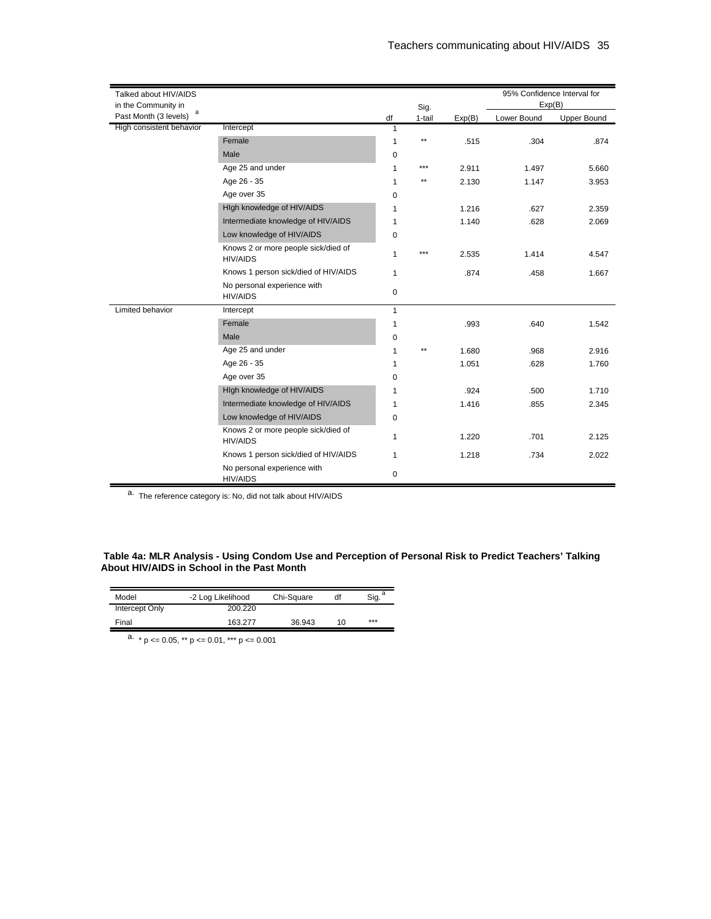| Talked about HIV/AIDS<br>in the Community in |                                                        |              |                |        | Exp(B)      | 95% Confidence Interval for |
|----------------------------------------------|--------------------------------------------------------|--------------|----------------|--------|-------------|-----------------------------|
| а<br>Past Month (3 levels)                   |                                                        | df           | Sig.<br>1-tail | Exp(B) | Lower Bound | <b>Upper Bound</b>          |
| High consistent behavior                     | Intercept                                              | 1            |                |        |             |                             |
|                                              | Female                                                 | $\mathbf{1}$ | $\star\star$   | .515   | .304        | .874                        |
|                                              | Male                                                   | 0            |                |        |             |                             |
|                                              | Age 25 and under                                       | 1            | ***            | 2.911  | 1.497       | 5.660                       |
|                                              | Age 26 - 35                                            | 1            | $\star\star$   | 2.130  | 1.147       | 3.953                       |
|                                              | Age over 35                                            | 0            |                |        |             |                             |
|                                              | High knowledge of HIV/AIDS                             | 1            |                | 1.216  | .627        | 2.359                       |
|                                              | Intermediate knowledge of HIV/AIDS                     | 1            |                | 1.140  | .628        | 2.069                       |
|                                              | Low knowledge of HIV/AIDS                              | 0            |                |        |             |                             |
|                                              | Knows 2 or more people sick/died of<br><b>HIV/AIDS</b> | $\mathbf{1}$ | ***            | 2.535  | 1.414       | 4.547                       |
|                                              | Knows 1 person sick/died of HIV/AIDS                   | $\mathbf{1}$ |                | .874   | .458        | 1.667                       |
|                                              | No personal experience with<br><b>HIV/AIDS</b>         | 0            |                |        |             |                             |
| Limited behavior                             | Intercept                                              | $\mathbf{1}$ |                |        |             |                             |
|                                              | Female                                                 | $\mathbf{1}$ |                | .993   | .640        | 1.542                       |
|                                              | Male                                                   | 0            |                |        |             |                             |
|                                              | Age 25 and under                                       | $\mathbf{1}$ | $\star\star$   | 1.680  | .968        | 2.916                       |
|                                              | Age 26 - 35                                            | 1            |                | 1.051  | .628        | 1.760                       |
|                                              | Age over 35                                            | 0            |                |        |             |                             |
|                                              | High knowledge of HIV/AIDS                             | 1            |                | .924   | .500        | 1.710                       |
|                                              | Intermediate knowledge of HIV/AIDS                     | 1            |                | 1.416  | .855        | 2.345                       |
|                                              | Low knowledge of HIV/AIDS                              | 0            |                |        |             |                             |
|                                              | Knows 2 or more people sick/died of<br><b>HIV/AIDS</b> | 1            |                | 1.220  | .701        | 2.125                       |
|                                              | Knows 1 person sick/died of HIV/AIDS                   | $\mathbf{1}$ |                | 1.218  | .734        | 2.022                       |
|                                              | No personal experience with<br><b>HIV/AIDS</b>         | 0            |                |        |             |                             |

a. The reference category is: No, did not talk about HIV/AIDS

#### **Table 4a: MLR Analysis - Using Condom Use and Perception of Personal Risk to Predict Teachers' Talking About HIV/AIDS in School in the Past Month**

| Model          | -2 Log Likelihood | Chi-Square | df | Sig. |
|----------------|-------------------|------------|----|------|
| Intercept Only | 200.220           |            |    |      |
| Final          | 163.277           | 36.943     | 10 | ***  |

 $\overline{a}$ . \* p <= 0.05, \*\* p <= 0.01, \*\*\* p <= 0.001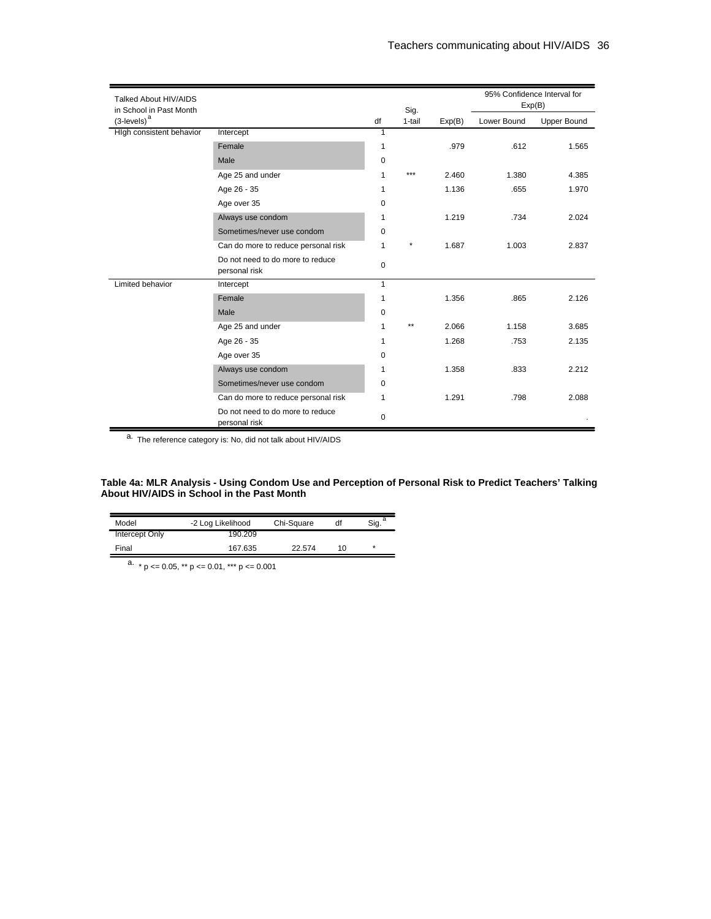| Talked About HIV/AIDS<br>in School in Past Month |                                                   |                | Sig.    |        |             | 95% Confidence Interval for<br>Exp(B) |
|--------------------------------------------------|---------------------------------------------------|----------------|---------|--------|-------------|---------------------------------------|
| $(3$ -levels) $^{\rm a}$                         |                                                   | df             | 1-tail  | Exp(B) | Lower Bound | <b>Upper Bound</b>                    |
| High consistent behavior                         | Intercept                                         | $\overline{1}$ |         |        |             |                                       |
|                                                  | Female                                            | 1              |         | .979   | .612        | 1.565                                 |
|                                                  | Male                                              | $\mathbf 0$    |         |        |             |                                       |
|                                                  | Age 25 and under                                  | 1              | ***     | 2.460  | 1.380       | 4.385                                 |
|                                                  | Age 26 - 35                                       | 1              |         | 1.136  | .655        | 1.970                                 |
|                                                  | Age over 35                                       | $\mathbf 0$    |         |        |             |                                       |
|                                                  | Always use condom                                 | 1              |         | 1.219  | .734        | 2.024                                 |
|                                                  | Sometimes/never use condom                        | 0              |         |        |             |                                       |
|                                                  | Can do more to reduce personal risk               | $\mathbf{1}$   | $\star$ | 1.687  | 1.003       | 2.837                                 |
|                                                  | Do not need to do more to reduce<br>personal risk | $\mathbf 0$    |         |        |             |                                       |
| Limited behavior                                 | Intercept                                         | $\mathbf{1}$   |         |        |             |                                       |
|                                                  | Female                                            | 1              |         | 1.356  | .865        | 2.126                                 |
|                                                  | Male                                              | 0              |         |        |             |                                       |
|                                                  | Age 25 and under                                  | 1              | $**$    | 2.066  | 1.158       | 3.685                                 |
|                                                  | Age 26 - 35                                       | $\mathbf{1}$   |         | 1.268  | .753        | 2.135                                 |
|                                                  | Age over 35                                       | 0              |         |        |             |                                       |
|                                                  | Always use condom                                 | 1              |         | 1.358  | .833        | 2.212                                 |
|                                                  | Sometimes/never use condom                        | $\mathbf 0$    |         |        |             |                                       |
|                                                  | Can do more to reduce personal risk               | 1              |         | 1.291  | .798        | 2.088                                 |
|                                                  | Do not need to do more to reduce<br>personal risk | 0              |         |        |             |                                       |

a. The reference category is: No, did not talk about HIV/AIDS

#### **Table 4a: MLR Analysis - Using Condom Use and Perception of Personal Risk to Predict Teachers' Talking About HIV/AIDS in School in the Past Month**

| Model          | -2 Log Likelihood | Chi-Square | df | Sia. |
|----------------|-------------------|------------|----|------|
| Intercept Only | 190.209           |            |    |      |
| Final          | 167.635           | 22.574     | 10 | ÷    |

a.  $* p \le 0.05$ ,  $** p \le 0.01$ ,  $*** p \le 0.001$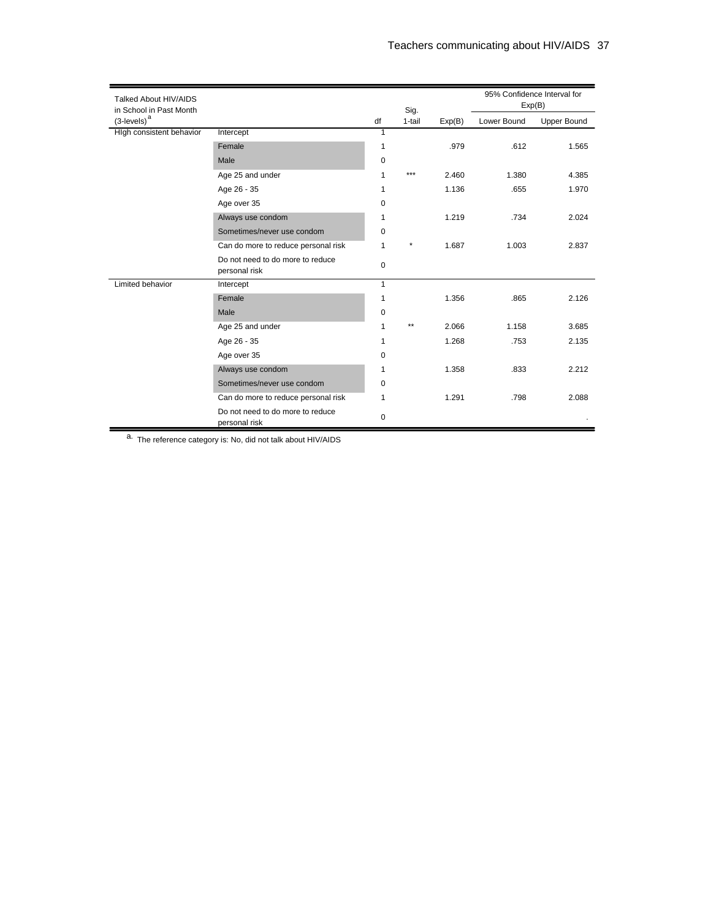| Talked About HIV/AIDS<br>in School in Past Month |                                                   |              | Sig.    |        |             | 95% Confidence Interval for<br>Exp(B) |
|--------------------------------------------------|---------------------------------------------------|--------------|---------|--------|-------------|---------------------------------------|
| $(3$ -levels) $^{\mathrm{a}}$                    |                                                   | df           | 1-tail  | Exp(B) | Lower Bound | <b>Upper Bound</b>                    |
| High consistent behavior                         | Intercept                                         | 1            |         |        |             |                                       |
|                                                  | Female                                            | 1            |         | .979   | .612        | 1.565                                 |
|                                                  | Male                                              | $\mathbf 0$  |         |        |             |                                       |
|                                                  | Age 25 and under                                  | 1            | ***     | 2.460  | 1.380       | 4.385                                 |
|                                                  | Age 26 - 35                                       | 1            |         | 1.136  | .655        | 1.970                                 |
|                                                  | Age over 35                                       | 0            |         |        |             |                                       |
|                                                  | Always use condom                                 | 1            |         | 1.219  | .734        | 2.024                                 |
|                                                  | Sometimes/never use condom                        | $\mathbf 0$  |         |        |             |                                       |
|                                                  | Can do more to reduce personal risk               | 1            | $\star$ | 1.687  | 1.003       | 2.837                                 |
|                                                  | Do not need to do more to reduce<br>personal risk | $\mathbf 0$  |         |        |             |                                       |
| Limited behavior                                 | Intercept                                         | $\mathbf{1}$ |         |        |             |                                       |
|                                                  | Female                                            | 1            |         | 1.356  | .865        | 2.126                                 |
|                                                  | Male                                              | 0            |         |        |             |                                       |
|                                                  | Age 25 and under                                  | 1            | $**$    | 2.066  | 1.158       | 3.685                                 |
|                                                  | Age 26 - 35                                       | 1            |         | 1.268  | .753        | 2.135                                 |
|                                                  | Age over 35                                       | $\mathbf 0$  |         |        |             |                                       |
|                                                  | Always use condom                                 | 1            |         | 1.358  | .833        | 2.212                                 |
|                                                  | Sometimes/never use condom                        | 0            |         |        |             |                                       |
|                                                  | Can do more to reduce personal risk               | 1            |         | 1.291  | .798        | 2.088                                 |
|                                                  | Do not need to do more to reduce<br>personal risk | 0            |         |        |             |                                       |

a. The reference category is: No, did not talk about HIV/AIDS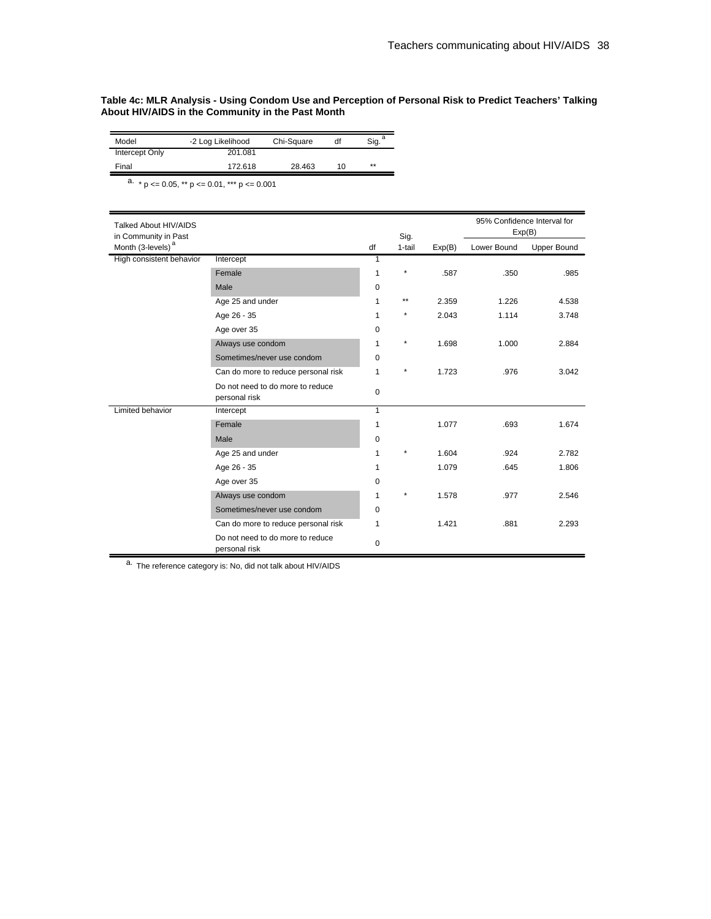#### **Table 4c: MLR Analysis - Using Condom Use and Perception of Personal Risk to Predict Teachers' Talking About HIV/AIDS in the Community in the Past Month**

| Model                 | -2 Log Likelihood | Chi-Square | df | Sig. |
|-----------------------|-------------------|------------|----|------|
| <b>Intercept Only</b> | 201.081           |            |    |      |
| Final                 | 172.618           | 28.463     | 10 | **   |

 $\frac{a}{p}$  × p <= 0.05, \*\* p <= 0.01, \*\*\* p <= 0.001

| Talked About HIV/AIDS<br>in Community in Past |                                                   |              | Sig.    |        |             | 95% Confidence Interval for<br>Exp(B) |
|-----------------------------------------------|---------------------------------------------------|--------------|---------|--------|-------------|---------------------------------------|
| Month (3-levels) <sup>a</sup>                 |                                                   | df           | 1-tail  | Exp(B) | Lower Bound | <b>Upper Bound</b>                    |
| High consistent behavior                      | Intercept                                         | 1            |         |        |             |                                       |
|                                               | Female                                            | $\mathbf{1}$ | $\star$ | .587   | .350        | .985                                  |
|                                               | Male                                              | 0            |         |        |             |                                       |
|                                               | Age 25 and under                                  | 1            | $***$   | 2.359  | 1.226       | 4.538                                 |
|                                               | Age 26 - 35                                       | 1            | $\star$ | 2.043  | 1.114       | 3.748                                 |
|                                               | Age over 35                                       | 0            |         |        |             |                                       |
|                                               | Always use condom                                 | 1            | $\star$ | 1.698  | 1.000       | 2.884                                 |
|                                               | Sometimes/never use condom                        | 0            |         |        |             |                                       |
|                                               | Can do more to reduce personal risk               | 1            | $\star$ | 1.723  | .976        | 3.042                                 |
|                                               | Do not need to do more to reduce<br>personal risk | 0            |         |        |             |                                       |
| Limited behavior                              | Intercept                                         | $\mathbf{1}$ |         |        |             |                                       |
|                                               | Female                                            | 1            |         | 1.077  | .693        | 1.674                                 |
|                                               | Male                                              | 0            |         |        |             |                                       |
|                                               | Age 25 and under                                  | 1            | $\star$ | 1.604  | .924        | 2.782                                 |
|                                               | Age 26 - 35                                       | 1            |         | 1.079  | .645        | 1.806                                 |
|                                               | Age over 35                                       | 0            |         |        |             |                                       |
|                                               | Always use condom                                 | 1            | $\star$ | 1.578  | .977        | 2.546                                 |
|                                               | Sometimes/never use condom                        | 0            |         |        |             |                                       |
|                                               | Can do more to reduce personal risk               | 1            |         | 1.421  | .881        | 2.293                                 |
|                                               | Do not need to do more to reduce<br>personal risk | 0            |         |        |             |                                       |

a. The reference category is: No, did not talk about HIV/AIDS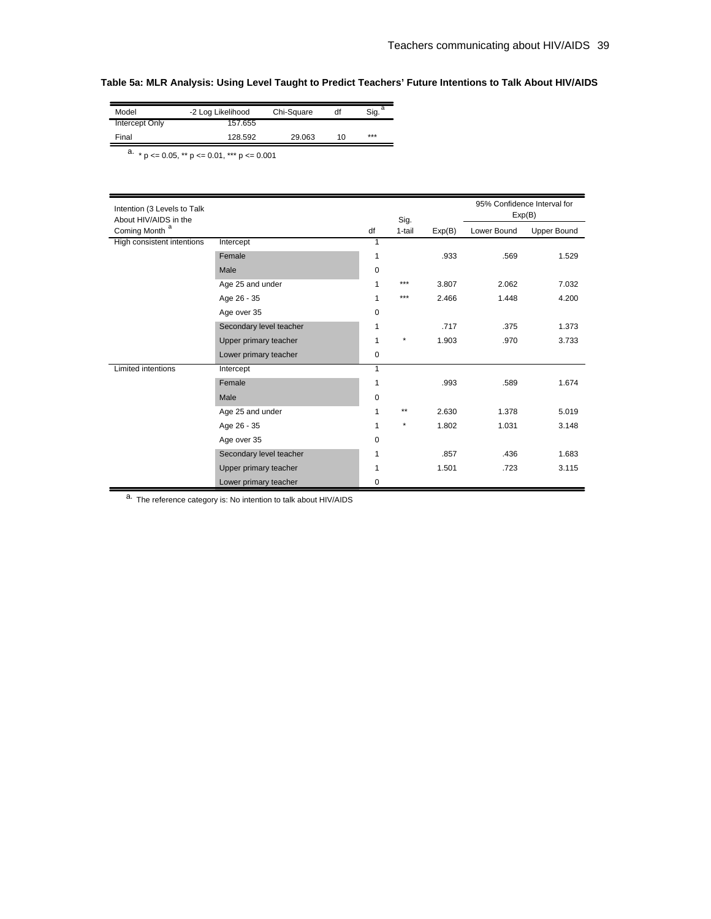# **Table 5a: MLR Analysis: Using Level Taught to Predict Teachers' Future Intentions to Talk About HIV/AIDS**

| Model                 | -2 Log Likelihood | Chi-Square | df | Sig. |
|-----------------------|-------------------|------------|----|------|
| <b>Intercept Only</b> | 157.655           |            |    |      |
| Final                 | 128.592           | 29.063     | 10 | ***  |

 $\overline{a_{\cdot} \cdot a_{\cdot}}$  p <= 0.05, \*\* p <= 0.01, \*\*\* p <= 0.001

| Intention (3 Levels to Talk<br>About HIV/AIDS in the |                         |             | Sig.    |        | 95% Confidence Interval for<br>Exp(B) |             |
|------------------------------------------------------|-------------------------|-------------|---------|--------|---------------------------------------|-------------|
| Coming Month <sup>a</sup>                            |                         | df          | 1-tail  | Exp(B) | Lower Bound                           | Upper Bound |
| High consistent intentions                           | Intercept               | 1           |         |        |                                       |             |
|                                                      | Female                  | 1           |         | .933   | .569                                  | 1.529       |
|                                                      | Male                    | 0           |         |        |                                       |             |
|                                                      | Age 25 and under        | 1           | ***     | 3.807  | 2.062                                 | 7.032       |
|                                                      | Age 26 - 35             | 1           | ***     | 2.466  | 1.448                                 | 4.200       |
|                                                      | Age over 35             | 0           |         |        |                                       |             |
|                                                      | Secondary level teacher | 1           |         | .717   | .375                                  | 1.373       |
|                                                      | Upper primary teacher   | 1           | $\star$ | 1.903  | .970                                  | 3.733       |
|                                                      | Lower primary teacher   | $\mathbf 0$ |         |        |                                       |             |
| Limited intentions                                   | Intercept               | 1           |         |        |                                       |             |
|                                                      | Female                  | 1           |         | .993   | .589                                  | 1.674       |
|                                                      | Male                    | $\mathbf 0$ |         |        |                                       |             |
|                                                      | Age 25 and under        | 1           | $***$   | 2.630  | 1.378                                 | 5.019       |
|                                                      | Age 26 - 35             | 1           | $\star$ | 1.802  | 1.031                                 | 3.148       |
|                                                      | Age over 35             | 0           |         |        |                                       |             |
|                                                      | Secondary level teacher | 1           |         | .857   | .436                                  | 1.683       |
|                                                      | Upper primary teacher   | 1           |         | 1.501  | .723                                  | 3.115       |
|                                                      | Lower primary teacher   | 0           |         |        |                                       |             |

a. The reference category is: No intention to talk about HIV/AIDS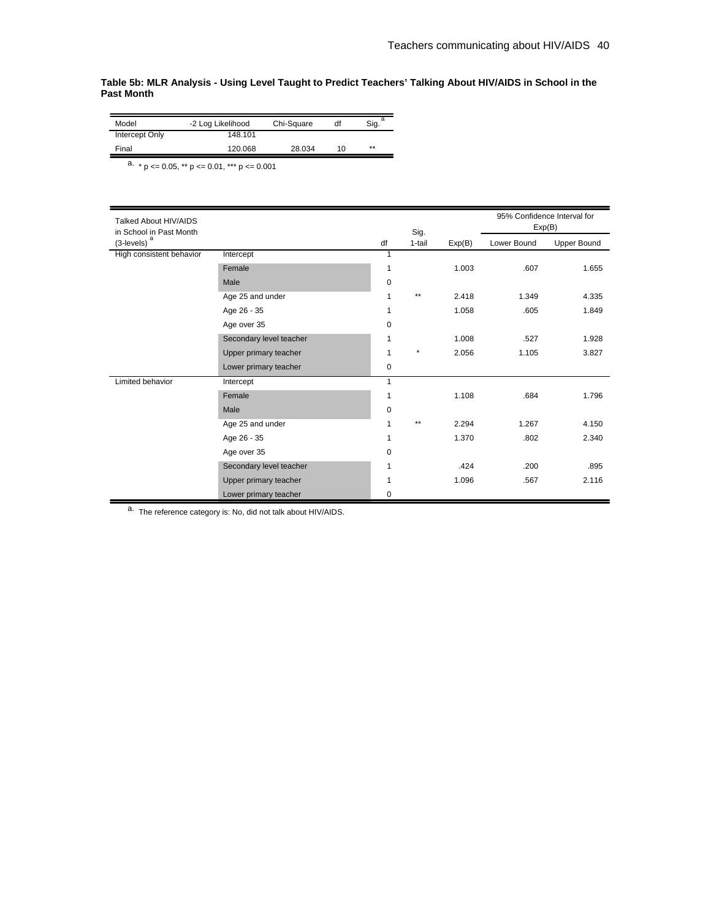### **Table 5b: MLR Analysis - Using Level Taught to Predict Teachers' Talking About HIV/AIDS in School in the Past Month**

| 28.034 | 10 | ** |
|--------|----|----|
|        |    |    |

 $\overline{a_{\cdot}}$  \* p <= 0.05, \*\* p <= 0.01, \*\*\* p <= 0.001

| Talked About HIV/AIDS<br>in School in Past Month |                         |    | Sig.    |        | 95% Confidence Interval for<br>Exp(B) |                    |
|--------------------------------------------------|-------------------------|----|---------|--------|---------------------------------------|--------------------|
| $(3$ -levels) $a$                                |                         | df | 1-tail  | Exp(B) | Lower Bound                           | <b>Upper Bound</b> |
| High consistent behavior                         | Intercept               | 1  |         |        |                                       |                    |
|                                                  | Female                  | 1  |         | 1.003  | .607                                  | 1.655              |
|                                                  | Male                    | 0  |         |        |                                       |                    |
|                                                  | Age 25 and under        | 1  | $**$    | 2.418  | 1.349                                 | 4.335              |
|                                                  | Age 26 - 35             | 1  |         | 1.058  | .605                                  | 1.849              |
|                                                  | Age over 35             | 0  |         |        |                                       |                    |
|                                                  | Secondary level teacher | 1  |         | 1.008  | .527                                  | 1.928              |
|                                                  | Upper primary teacher   | 1  | $\star$ | 2.056  | 1.105                                 | 3.827              |
|                                                  | Lower primary teacher   | 0  |         |        |                                       |                    |
| Limited behavior                                 | Intercept               | 1  |         |        |                                       |                    |
|                                                  | Female                  | 1  |         | 1.108  | .684                                  | 1.796              |
|                                                  | Male                    | 0  |         |        |                                       |                    |
|                                                  | Age 25 and under        | 1  | $**$    | 2.294  | 1.267                                 | 4.150              |
|                                                  | Age 26 - 35             | 1  |         | 1.370  | .802                                  | 2.340              |
|                                                  | Age over 35             | 0  |         |        |                                       |                    |
|                                                  | Secondary level teacher | 1  |         | .424   | .200                                  | .895               |
|                                                  | Upper primary teacher   | 1  |         | 1.096  | .567                                  | 2.116              |
|                                                  | Lower primary teacher   | 0  |         |        |                                       |                    |

a. The reference category is: No, did not talk about HIV/AIDS.